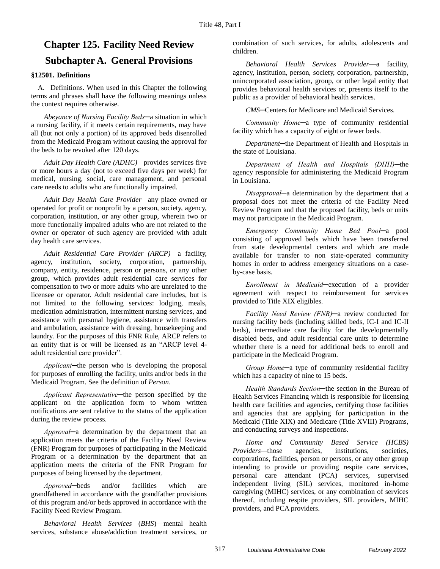# **Chapter 125. Facility Need Review Subchapter A. General Provisions**

### **§12501. Definitions**

A. Definitions. When used in this Chapter the following terms and phrases shall have the following meanings unless the context requires otherwise.

*Abeyance of Nursing Facility Beds─*a situation in which a nursing facility, if it meets certain requirements, may have all (but not only a portion) of its approved beds disenrolled from the Medicaid Program without causing the approval for the beds to be revoked after 120 days.

*Adult Day Health Care (ADHC)—*provides services five or more hours a day (not to exceed five days per week) for medical, nursing, social, care management, and personal care needs to adults who are functionally impaired.

*Adult Day Health Care Provider—*any place owned or operated for profit or nonprofit by a person, society, agency, corporation, institution, or any other group, wherein two or more functionally impaired adults who are not related to the owner or operator of such agency are provided with adult day health care services.

*Adult Residential Care Provider (ARCP)*—a facility, agency, institution, society, corporation, partnership, company, entity, residence, person or persons, or any other group, which provides adult residential care services for compensation to two or more adults who are unrelated to the licensee or operator. Adult residential care includes, but is not limited to the following services: lodging, meals, medication administration, intermittent nursing services, and assistance with personal hygiene, assistance with transfers and ambulation, assistance with dressing, housekeeping and laundry. For the purposes of this FNR Rule, ARCP refers to an entity that is or will be licensed as an "ARCP level 4 adult residential care provider".

*Applicant─*the person who is developing the proposal for purposes of enrolling the facility, units and/or beds in the Medicaid Program. See the definition of *Person*.

*Applicant Representative─*the person specified by the applicant on the application form to whom written notifications are sent relative to the status of the application during the review process.

*Approval─*a determination by the department that an application meets the criteria of the Facility Need Review (FNR) Program for purposes of participating in the Medicaid Program or a determination by the department that an application meets the criteria of the FNR Program for purposes of being licensed by the department.

*Approved─*beds and/or facilities which are grandfathered in accordance with the grandfather provisions of this program and/or beds approved in accordance with the Facility Need Review Program.

*Behavioral Health Services (BHS)*—mental health services, substance abuse/addiction treatment services, or

combination of such services, for adults, adolescents and children.

*Behavioral Health Services Provider*—a facility, agency, institution, person, society, corporation, partnership, unincorporated association, group, or other legal entity that provides behavioral health services or, presents itself to the public as a provider of behavioral health services.

*CMS─*Centers for Medicare and Medicaid Services.

*Community Home─*a type of community residential facility which has a capacity of eight or fewer beds.

*Department*─the Department of Health and Hospitals in the state of Louisiana.

*Department of Health and Hospitals (DHH)─*the agency responsible for administering the Medicaid Program in Louisiana.

*Disapproval─*a determination by the department that a proposal does not meet the criteria of the Facility Need Review Program and that the proposed facility, beds or units may not participate in the Medicaid Program.

*Emergency Community Home Bed Pool─*a pool consisting of approved beds which have been transferred from state developmental centers and which are made available for transfer to non state-operated community homes in order to address emergency situations on a caseby-case basis.

*Enrollment in Medicaid─*execution of a provider agreement with respect to reimbursement for services provided to Title XIX eligibles.

*Facility Need Review (FNR)─*a review conducted for nursing facility beds (including skilled beds, IC-I and IC-II beds), intermediate care facility for the developmentally disabled beds, and adult residential care units to determine whether there is a need for additional beds to enroll and participate in the Medicaid Program.

*Group Home─*a type of community residential facility which has a capacity of nine to 15 beds.

*Health Standards Section─*the section in the Bureau of Health Services Financing which is responsible for licensing health care facilities and agencies, certifying those facilities and agencies that are applying for participation in the Medicaid (Title XIX) and Medicare (Title XVIII) Programs, and conducting surveys and inspections.

*Home and Community Based Service (HCBS) Providers—*those agencies, institutions, societies, corporations, facilities, person or persons, or any other group intending to provide or providing respite care services, personal care attendant (PCA) services, supervised independent living (SIL) services, monitored in-home caregiving (MIHC) services, or any combination of services thereof, including respite providers, SIL providers, MIHC providers, and PCA providers.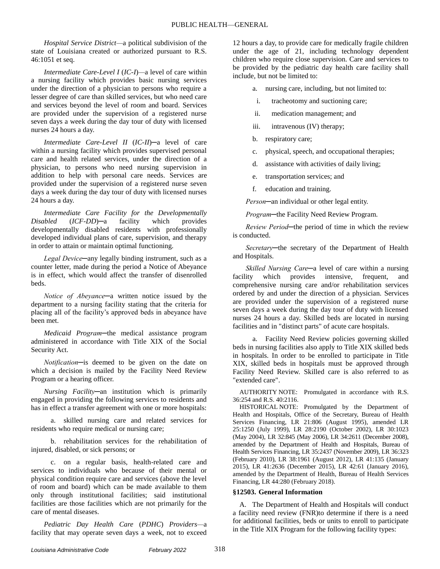*Hospital Service District—*a political subdivision of the state of Louisiana created or authorized pursuant to R.S. 46:1051 et seq.

*Intermediate Care-Level I* (*IC-I*)*—*a level of care within a nursing facility which provides basic nursing services under the direction of a physician to persons who require a lesser degree of care than skilled services, but who need care and services beyond the level of room and board. Services are provided under the supervision of a registered nurse seven days a week during the day tour of duty with licensed nurses 24 hours a day.

*Intermediate Care-Level II* (*IC-II*)*─*a level of care within a nursing facility which provides supervised personal care and health related services, under the direction of a physician, to persons who need nursing supervision in addition to help with personal care needs. Services are provided under the supervision of a registered nurse seven days a week during the day tour of duty with licensed nurses 24 hours a day.

*Intermediate Care Facility for the Developmentally Disabled* (*ICF-DD*)*─*a facility which provides developmentally disabled residents with professionally developed individual plans of care, supervision, and therapy in order to attain or maintain optimal functioning.

*Legal Device─*any legally binding instrument, such as a counter letter, made during the period a Notice of Abeyance is in effect, which would affect the transfer of disenrolled beds.

*Notice of Abeyance─*a written notice issued by the department to a nursing facility stating that the criteria for placing all of the facility's approved beds in abeyance have been met.

*Medicaid Program─*the medical assistance program administered in accordance with Title XIX of the Social Security Act.

*Notification─*is deemed to be given on the date on which a decision is mailed by the Facility Need Review Program or a hearing officer.

*Nursing Facility─*an institution which is primarily engaged in providing the following services to residents and has in effect a transfer agreement with one or more hospitals:

a. skilled nursing care and related services for residents who require medical or nursing care;

b. rehabilitation services for the rehabilitation of injured, disabled, or sick persons; or

c. on a regular basis, health-related care and services to individuals who because of their mental or physical condition require care and services (above the level of room and board) which can be made available to them only through institutional facilities; said institutional facilities are those facilities which are not primarily for the care of mental diseases.

*Pediatric Day Health Care* (*PDHC*) *Providers—*a facility that may operate seven days a week, not to exceed 12 hours a day, to provide care for medically fragile children under the age of 21, including technology dependent children who require close supervision. Care and services to be provided by the pediatric day health care facility shall include, but not be limited to:

a. nursing care, including, but not limited to:

- i. tracheotomy and suctioning care;
- ii. medication management; and
- iii. intravenous (IV) therapy;
- b. respiratory care;
- c. physical, speech, and occupational therapies;
- d. assistance with activities of daily living;
- e. transportation services; and
- f. education and training.

*Person─*an individual or other legal entity.

*Program─*the Facility Need Review Program.

*Review Period─*the period of time in which the review is conducted.

*Secretary─*the secretary of the Department of Health and Hospitals.

*Skilled Nursing Care─*a level of care within a nursing facility which provides intensive, frequent, and comprehensive nursing care and/or rehabilitation services ordered by and under the direction of a physician. Services are provided under the supervision of a registered nurse seven days a week during the day tour of duty with licensed nurses 24 hours a day. Skilled beds are located in nursing facilities and in "distinct parts" of acute care hospitals.

a. Facility Need Review policies governing skilled beds in nursing facilities also apply to Title XIX skilled beds in hospitals. In order to be enrolled to participate in Title XIX, skilled beds in hospitals must be approved through Facility Need Review. Skilled care is also referred to as "extended care".

AUTHORITY NOTE: Promulgated in accordance with R.S. 36:254 and R.S. 40:2116.

HISTORICAL NOTE: Promulgated by the Department of Health and Hospitals, Office of the Secretary, Bureau of Health Services Financing, LR 21:806 (August 1995), amended LR 25:1250 (July 1999), LR 28:2190 (October 2002), LR 30:1023 (May 2004), LR 32:845 (May 2006), LR 34:2611 (December 2008), amended by the Department of Health and Hospitals, Bureau of Health Services Financing, LR 35:2437 (November 2009), LR 36:323 (February 2010), LR 38:1961 (August 2012), LR 41:135 (January 2015), LR 41:2636 (December 2015), LR 42:61 (January 2016), amended by the Department of Health, Bureau of Health Services Financing, LR 44:280 (February 2018).

### **§12503. General Information**

A. The Department of Health and Hospitals will conduct a facility need review (FNR)to determine if there is a need for additional facilities, beds or units to enroll to participate in the Title XIX Program for the following facility types: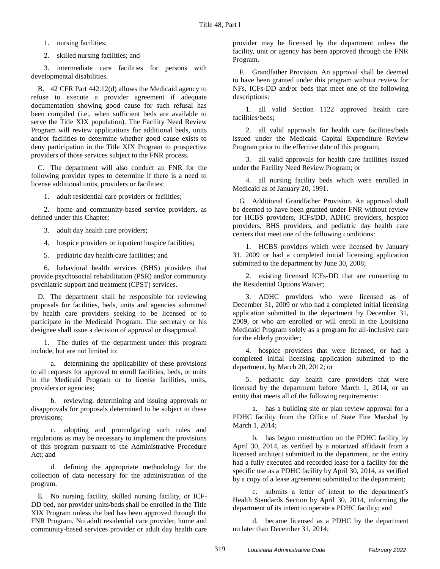1. nursing facilities;

2. skilled nursing facilities; and

3. intermediate care facilities for persons with developmental disabilities.

B. 42 CFR Part 442.12(d) allows the Medicaid agency to refuse to execute a provider agreement if adequate documentation showing good cause for such refusal has been compiled (i.e., when sufficient beds are available to serve the Title XIX population). The Facility Need Review Program will review applications for additional beds, units and/or facilities to determine whether good cause exists to deny participation in the Title XIX Program to prospective providers of those services subject to the FNR process.

C. The department will also conduct an FNR for the following provider types to determine if there is a need to license additional units, providers or facilities:

1. adult residential care providers or facilities;

2. home and community-based service providers, as defined under this Chapter;

3. adult day health care providers;

4. hospice providers or inpatient hospice facilities;

5. pediatric day health care facilities; and

6. behavioral health services (BHS) providers that provide psychosocial rehabilitation (PSR) and/or community psychiatric support and treatment (CPST) services.

D. The department shall be responsible for reviewing proposals for facilities, beds, units and agencies submitted by health care providers seeking to be licensed or to participate in the Medicaid Program. The secretary or his designee shall issue a decision of approval or disapproval.

1. The duties of the department under this program include, but are not limited to:

a. determining the applicability of these provisions to all requests for approval to enroll facilities, beds, or units in the Medicaid Program or to license facilities, units, providers or agencies;

b. reviewing, determining and issuing approvals or disapprovals for proposals determined to be subject to these provisions;

c. adopting and promulgating such rules and regulations as may be necessary to implement the provisions of this program pursuant to the Administrative Procedure Act; and

d. defining the appropriate methodology for the collection of data necessary for the administration of the program.

E. No nursing facility, skilled nursing facility, or ICF-DD bed, nor provider units/beds shall be enrolled in the Title XIX Program unless the bed has been approved through the FNR Program. No adult residential care provider, home and community-based services provider or adult day health care provider may be licensed by the department unless the facility, unit or agency has been approved through the FNR Program.

F. Grandfather Provision. An approval shall be deemed to have been granted under this program without review for NFs, ICFs-DD and/or beds that meet one of the following descriptions:

1. all valid Section 1122 approved health care facilities/beds;

2. all valid approvals for health care facilities/beds issued under the Medicaid Capital Expenditure Review Program prior to the effective date of this program;

3. all valid approvals for health care facilities issued under the Facility Need Review Program; or

4. all nursing facility beds which were enrolled in Medicaid as of January 20, 1991.

G. Additional Grandfather Provision. An approval shall be deemed to have been granted under FNR without review for HCBS providers, ICFs/DD, ADHC providers, hospice providers, BHS providers, and pediatric day health care centers that meet one of the following conditions:

1. HCBS providers which were licensed by January 31, 2009 or had a completed initial licensing application submitted to the department by June 30, 2008;

2. existing licensed ICFs-DD that are converting to the Residential Options Waiver;

3. ADHC providers who were licensed as of December 31, 2009 or who had a completed initial licensing application submitted to the department by December 31, 2009, or who are enrolled or will enroll in the Louisiana Medicaid Program solely as a program for all-inclusive care for the elderly provider;

4. hospice providers that were licensed, or had a completed initial licensing application submitted to the department, by March 20, 2012; or

5. pediatric day health care providers that were licensed by the department before March 1, 2014, or an entity that meets all of the following requirements:

a. has a building site or plan review approval for a PDHC facility from the Office of State Fire Marshal by March 1, 2014;

b. has begun construction on the PDHC facility by April 30, 2014, as verified by a notarized affidavit from a licensed architect submitted to the department, or the entity had a fully executed and recorded lease for a facility for the specific use as a PDHC facility by April 30, 2014, as verified by a copy of a lease agreement submitted to the department;

c. submits a letter of intent to the department's Health Standards Section by April 30, 2014, informing the department of its intent to operate a PDHC facility; and

d. became licensed as a PDHC by the department no later than December 31, 2014;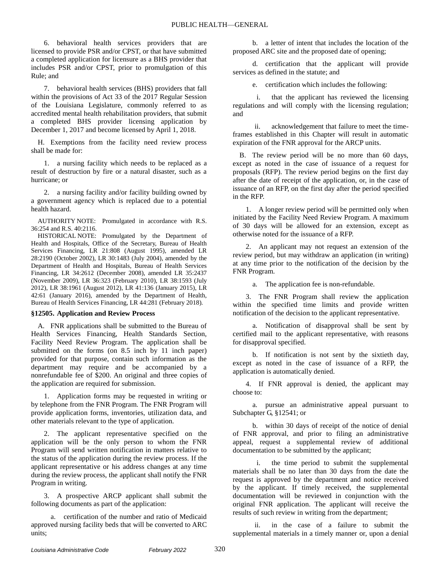6. behavioral health services providers that are licensed to provide PSR and/or CPST, or that have submitted a completed application for licensure as a BHS provider that includes PSR and/or CPST, prior to promulgation of this Rule; and

7. behavioral health services (BHS) providers that fall within the provisions of Act 33 of the 2017 Regular Session of the Louisiana Legislature, commonly referred to as accredited mental health rehabilitation providers, that submit a completed BHS provider licensing application by December 1, 2017 and become licensed by April 1, 2018.

H. Exemptions from the facility need review process shall be made for:

1. a nursing facility which needs to be replaced as a result of destruction by fire or a natural disaster, such as a hurricane; or

2. a nursing facility and/or facility building owned by a government agency which is replaced due to a potential health hazard.

AUTHORITY NOTE: Promulgated in accordance with R.S. 36:254 and R.S. 40:2116.

HISTORICAL NOTE: Promulgated by the Department of Health and Hospitals, Office of the Secretary, Bureau of Health Services Financing, LR 21:808 (August 1995), amended LR 28:2190 (October 2002), LR 30:1483 (July 2004), amended by the Department of Health and Hospitals, Bureau of Health Services Financing, LR 34:2612 (December 2008), amended LR 35:2437 (November 2009), LR 36:323 (February 2010), LR 38:1593 (July 2012), LR 38:1961 (August 2012), LR 41:136 (January 2015), LR 42:61 (January 2016), amended by the Department of Health, Bureau of Health Services Financing, LR 44:281 (February 2018).

### **§12505. Application and Review Process**

A. FNR applications shall be submitted to the Bureau of Health Services Financing, Health Standards Section, Facility Need Review Program. The application shall be submitted on the forms (on 8.5 inch by 11 inch paper) provided for that purpose, contain such information as the department may require and be accompanied by a nonrefundable fee of \$200. An original and three copies of the application are required for submission.

1. Application forms may be requested in writing or by telephone from the FNR Program. The FNR Program will provide application forms, inventories, utilization data, and other materials relevant to the type of application.

2. The applicant representative specified on the application will be the only person to whom the FNR Program will send written notification in matters relative to the status of the application during the review process. If the applicant representative or his address changes at any time during the review process, the applicant shall notify the FNR Program in writing.

3. A prospective ARCP applicant shall submit the following documents as part of the application:

a. certification of the number and ratio of Medicaid approved nursing facility beds that will be converted to ARC units;

b. a letter of intent that includes the location of the proposed ARC site and the proposed date of opening;

d. certification that the applicant will provide services as defined in the statute; and

e. certification which includes the following:

i. that the applicant has reviewed the licensing regulations and will comply with the licensing regulation; and

ii. acknowledgement that failure to meet the timeframes established in this Chapter will result in automatic expiration of the FNR approval for the ARCP units.

B. The review period will be no more than 60 days, except as noted in the case of issuance of a request for proposals (RFP). The review period begins on the first day after the date of receipt of the application, or, in the case of issuance of an RFP, on the first day after the period specified in the RFP.

1. A longer review period will be permitted only when initiated by the Facility Need Review Program. A maximum of 30 days will be allowed for an extension, except as otherwise noted for the issuance of a RFP.

2. An applicant may not request an extension of the review period, but may withdraw an application (in writing) at any time prior to the notification of the decision by the FNR Program.

a. The application fee is non-refundable.

3. The FNR Program shall review the application within the specified time limits and provide written notification of the decision to the applicant representative.

a. Notification of disapproval shall be sent by certified mail to the applicant representative, with reasons for disapproval specified.

b. If notification is not sent by the sixtieth day, except as noted in the case of issuance of a RFP, the application is automatically denied.

4. If FNR approval is denied, the applicant may choose to:

a. pursue an administrative appeal pursuant to Subchapter G, §12541; or

b. within 30 days of receipt of the notice of denial of FNR approval, and prior to filing an administrative appeal, request a supplemental review of additional documentation to be submitted by the applicant;

i. the time period to submit the supplemental materials shall be no later than 30 days from the date the request is approved by the department and notice received by the applicant. If timely received, the supplemental documentation will be reviewed in conjunction with the original FNR application. The applicant will receive the results of such review in writing from the department;

ii. in the case of a failure to submit the supplemental materials in a timely manner or, upon a denial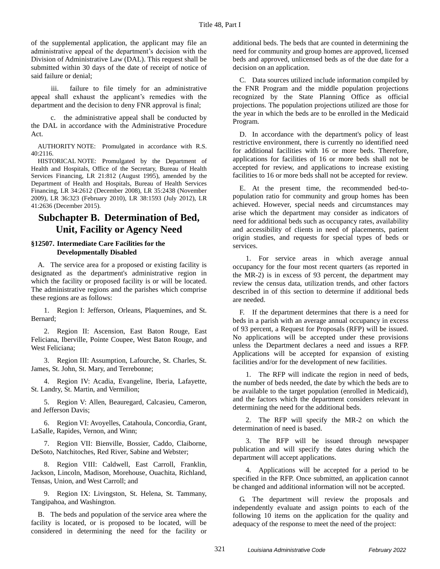of the supplemental application, the applicant may file an administrative appeal of the department's decision with the Division of Administrative Law (DAL). This request shall be submitted within 30 days of the date of receipt of notice of said failure or denial;

iii. failure to file timely for an administrative appeal shall exhaust the applicant's remedies with the department and the decision to deny FNR approval is final;

c. the administrative appeal shall be conducted by the DAL in accordance with the Administrative Procedure Act.

AUTHORITY NOTE: Promulgated in accordance with R.S. 40:2116.

HISTORICAL NOTE: Promulgated by the Department of Health and Hospitals, Office of the Secretary, Bureau of Health Services Financing, LR 21:812 (August 1995), amended by the Department of Health and Hospitals, Bureau of Health Services Financing, LR 34:2612 (December 2008), LR 35:2438 (November 2009), LR 36:323 (February 2010), LR 38:1593 (July 2012), LR 41:2636 (December 2015).

# **Subchapter B. Determination of Bed, Unit, Facility or Agency Need**

### **§12507. Intermediate Care Facilities for the Developmentally Disabled**

A. The service area for a proposed or existing facility is designated as the department's administrative region in which the facility or proposed facility is or will be located. The administrative regions and the parishes which comprise these regions are as follows:

1. Region I: Jefferson, Orleans, Plaquemines, and St. Bernard;

2. Region II: Ascension, East Baton Rouge, East Feliciana, Iberville, Pointe Coupee, West Baton Rouge, and West Feliciana;

3. Region III: Assumption, Lafourche, St. Charles, St. James, St. John, St. Mary, and Terrebonne;

4. Region IV: Acadia, Evangeline, Iberia, Lafayette, St. Landry, St. Martin, and Vermilion;

5. Region V: Allen, Beauregard, Calcasieu, Cameron, and Jefferson Davis;

6. Region VI: Avoyelles, Catahoula, Concordia, Grant, LaSalle, Rapides, Vernon, and Winn;

7. Region VII: Bienville, Bossier, Caddo, Claiborne, DeSoto, Natchitoches, Red River, Sabine and Webster;

8. Region VIII: Caldwell, East Carroll, Franklin, Jackson, Lincoln, Madison, Morehouse, Ouachita, Richland, Tensas, Union, and West Carroll; and

9. Region IX: Livingston, St. Helena, St. Tammany, Tangipahoa, and Washington.

B. The beds and population of the service area where the facility is located, or is proposed to be located, will be considered in determining the need for the facility or

additional beds. The beds that are counted in determining the need for community and group homes are approved, licensed beds and approved, unlicensed beds as of the due date for a decision on an application.

C. Data sources utilized include information compiled by the FNR Program and the middle population projections recognized by the State Planning Office as official projections. The population projections utilized are those for the year in which the beds are to be enrolled in the Medicaid Program.

D. In accordance with the department's policy of least restrictive environment, there is currently no identified need for additional facilities with 16 or more beds. Therefore, applications for facilities of 16 or more beds shall not be accepted for review, and applications to increase existing facilities to 16 or more beds shall not be accepted for review.

E. At the present time, the recommended bed-topopulation ratio for community and group homes has been achieved. However, special needs and circumstances may arise which the department may consider as indicators of need for additional beds such as occupancy rates, availability and accessibility of clients in need of placements, patient origin studies, and requests for special types of beds or services.

1. For service areas in which average annual occupancy for the four most recent quarters (as reported in the MR-2) is in excess of 93 percent, the department may review the census data, utilization trends, and other factors described in of this section to determine if additional beds are needed.

F. If the department determines that there is a need for beds in a parish with an average annual occupancy in excess of 93 percent, a Request for Proposals (RFP) will be issued. No applications will be accepted under these provisions unless the Department declares a need and issues a RFP. Applications will be accepted for expansion of existing facilities and/or for the development of new facilities.

1. The RFP will indicate the region in need of beds, the number of beds needed, the date by which the beds are to be available to the target population (enrolled in Medicaid), and the factors which the department considers relevant in determining the need for the additional beds.

2. The RFP will specify the MR-2 on which the determination of need is based.

3. The RFP will be issued through newspaper publication and will specify the dates during which the department will accept applications.

4. Applications will be accepted for a period to be specified in the RFP. Once submitted, an application cannot be changed and additional information will not be accepted.

G. The department will review the proposals and independently evaluate and assign points to each of the following 10 items on the application for the quality and adequacy of the response to meet the need of the project: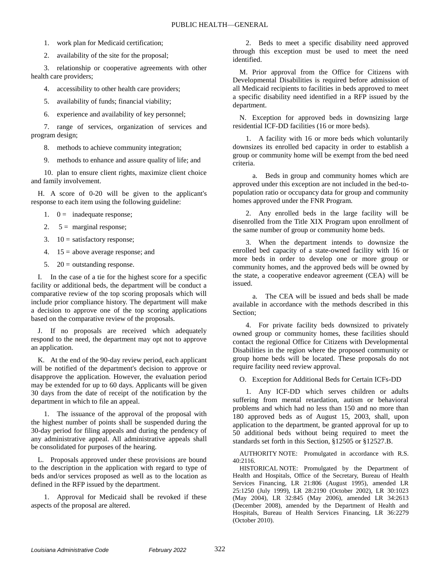1. work plan for Medicaid certification;

2. availability of the site for the proposal;

3. relationship or cooperative agreements with other health care providers;

4. accessibility to other health care providers;

5. availability of funds; financial viability;

6. experience and availability of key personnel;

7. range of services, organization of services and program design;

8. methods to achieve community integration;

9. methods to enhance and assure quality of life; and

10. plan to ensure client rights, maximize client choice and family involvement.

H. A score of 0-20 will be given to the applicant's response to each item using the following guideline:

1.  $0 =$  inadequate response;

2.  $5 =$  marginal response;

3.  $10 =$  satisfactory response;

4.  $15 =$  above average response; and

5.  $20 =$  outstanding response.

I. In the case of a tie for the highest score for a specific facility or additional beds, the department will be conduct a comparative review of the top scoring proposals which will include prior compliance history. The department will make a decision to approve one of the top scoring applications based on the comparative review of the proposals.

J. If no proposals are received which adequately respond to the need, the department may opt not to approve an application.

K. At the end of the 90-day review period, each applicant will be notified of the department's decision to approve or disapprove the application. However, the evaluation period may be extended for up to 60 days. Applicants will be given 30 days from the date of receipt of the notification by the department in which to file an appeal.

1. The issuance of the approval of the proposal with the highest number of points shall be suspended during the 30-day period for filing appeals and during the pendency of any administrative appeal. All administrative appeals shall be consolidated for purposes of the hearing.

L. Proposals approved under these provisions are bound to the description in the application with regard to type of beds and/or services proposed as well as to the location as defined in the RFP issued by the department.

1. Approval for Medicaid shall be revoked if these aspects of the proposal are altered.

2. Beds to meet a specific disability need approved through this exception must be used to meet the need identified.

M. Prior approval from the Office for Citizens with Developmental Disabilities is required before admission of all Medicaid recipients to facilities in beds approved to meet a specific disability need identified in a RFP issued by the department.

N. Exception for approved beds in downsizing large residential ICF-DD facilities (16 or more beds).

1. A facility with 16 or more beds which voluntarily downsizes its enrolled bed capacity in order to establish a group or community home will be exempt from the bed need criteria.

a. Beds in group and community homes which are approved under this exception are not included in the bed-topopulation ratio or occupancy data for group and community homes approved under the FNR Program.

2. Any enrolled beds in the large facility will be disenrolled from the Title XIX Program upon enrollment of the same number of group or community home beds.

3. When the department intends to downsize the enrolled bed capacity of a state-owned facility with 16 or more beds in order to develop one or more group or community homes, and the approved beds will be owned by the state, a cooperative endeavor agreement (CEA) will be issued.

a. The CEA will be issued and beds shall be made available in accordance with the methods described in this Section;

4. For private facility beds downsized to privately owned group or community homes, these facilities should contact the regional Office for Citizens with Developmental Disabilities in the region where the proposed community or group home beds will be located. These proposals do not require facility need review approval.

O. Exception for Additional Beds for Certain ICFs-DD

1. Any ICF-DD which serves children or adults suffering from mental retardation, autism or behavioral problems and which had no less than 150 and no more than 180 approved beds as of August 15, 2003, shall, upon application to the department, be granted approval for up to 50 additional beds without being required to meet the standards set forth in this Section, §12505 or §12527.B.

AUTHORITY NOTE: Promulgated in accordance with R.S. 40:2116.

HISTORICAL NOTE: Promulgated by the Department of Health and Hospitals, Office of the Secretary, Bureau of Health Services Financing, LR 21:806 (August 1995), amended LR 25:1250 (July 1999), LR 28:2190 (October 2002), LR 30:1023 (May 2004), LR 32:845 (May 2006), amended LR 34:2613 (December 2008), amended by the Department of Health and Hospitals, Bureau of Health Services Financing, LR 36:2279 (October 2010).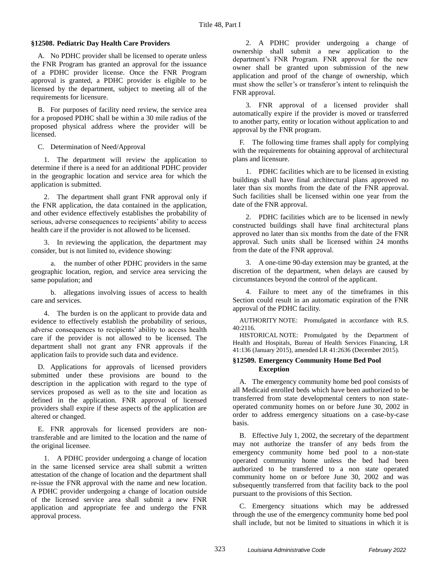### **§12508. Pediatric Day Health Care Providers**

A. No PDHC provider shall be licensed to operate unless the FNR Program has granted an approval for the issuance of a PDHC provider license. Once the FNR Program approval is granted, a PDHC provider is eligible to be licensed by the department, subject to meeting all of the requirements for licensure.

B. For purposes of facility need review, the service area for a proposed PDHC shall be within a 30 mile radius of the proposed physical address where the provider will be licensed.

C. Determination of Need/Approval

1. The department will review the application to determine if there is a need for an additional PDHC provider in the geographic location and service area for which the application is submitted.

2. The department shall grant FNR approval only if the FNR application, the data contained in the application, and other evidence effectively establishes the probability of serious, adverse consequences to recipients' ability to access health care if the provider is not allowed to be licensed.

3. In reviewing the application, the department may consider, but is not limited to, evidence showing:

a. the number of other PDHC providers in the same geographic location, region, and service area servicing the same population; and

b. allegations involving issues of access to health care and services.

4. The burden is on the applicant to provide data and evidence to effectively establish the probability of serious, adverse consequences to recipients' ability to access health care if the provider is not allowed to be licensed. The department shall not grant any FNR approvals if the application fails to provide such data and evidence.

D. Applications for approvals of licensed providers submitted under these provisions are bound to the description in the application with regard to the type of services proposed as well as to the site and location as defined in the application. FNR approval of licensed providers shall expire if these aspects of the application are altered or changed.

E. FNR approvals for licensed providers are nontransferable and are limited to the location and the name of the original licensee.

1. A PDHC provider undergoing a change of location in the same licensed service area shall submit a written attestation of the change of location and the department shall re-issue the FNR approval with the name and new location. A PDHC provider undergoing a change of location outside of the licensed service area shall submit a new FNR application and appropriate fee and undergo the FNR approval process.

2. A PDHC provider undergoing a change of ownership shall submit a new application to the department's FNR Program. FNR approval for the new owner shall be granted upon submission of the new application and proof of the change of ownership, which must show the seller's or transferor's intent to relinquish the FNR approval.

3. FNR approval of a licensed provider shall automatically expire if the provider is moved or transferred to another party, entity or location without application to and approval by the FNR program.

F. The following time frames shall apply for complying with the requirements for obtaining approval of architectural plans and licensure.

1. PDHC facilities which are to be licensed in existing buildings shall have final architectural plans approved no later than six months from the date of the FNR approval. Such facilities shall be licensed within one year from the date of the FNR approval.

2. PDHC facilities which are to be licensed in newly constructed buildings shall have final architectural plans approved no later than six months from the date of the FNR approval. Such units shall be licensed within 24 months from the date of the FNR approval.

3. A one-time 90-day extension may be granted, at the discretion of the department, when delays are caused by circumstances beyond the control of the applicant.

4. Failure to meet any of the timeframes in this Section could result in an automatic expiration of the FNR approval of the PDHC facility.

AUTHORITY NOTE: Promulgated in accordance with R.S. 40:2116.

HISTORICAL NOTE: Promulgated by the Department of Health and Hospitals, Bureau of Health Services Financing, LR 41:136 (January 2015), amended LR 41:2636 (December 2015).

### **§12509. Emergency Community Home Bed Pool Exception**

A. The emergency community home bed pool consists of all Medicaid enrolled beds which have been authorized to be transferred from state developmental centers to non stateoperated community homes on or before June 30, 2002 in order to address emergency situations on a case-by-case basis.

B. Effective July 1, 2002, the secretary of the department may not authorize the transfer of any beds from the emergency community home bed pool to a non-state operated community home unless the bed had been authorized to be transferred to a non state operated community home on or before June 30, 2002 and was subsequently transferred from that facility back to the pool pursuant to the provisions of this Section.

C. Emergency situations which may be addressed through the use of the emergency community home bed pool shall include, but not be limited to situations in which it is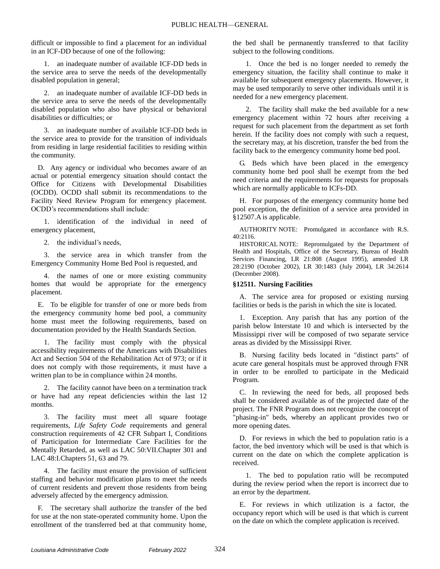difficult or impossible to find a placement for an individual in an ICF-DD because of one of the following:

1. an inadequate number of available ICF-DD beds in the service area to serve the needs of the developmentally disabled population in general;

2. an inadequate number of available ICF-DD beds in the service area to serve the needs of the developmentally disabled population who also have physical or behavioral disabilities or difficulties; or

3. an inadequate number of available ICF-DD beds in the service area to provide for the transition of individuals from residing in large residential facilities to residing within the community.

D. Any agency or individual who becomes aware of an actual or potential emergency situation should contact the Office for Citizens with Developmental Disabilities (OCDD). OCDD shall submit its recommendations to the Facility Need Review Program for emergency placement. OCDD's recommendations shall include:

1. identification of the individual in need of emergency placement,

2. the individual's needs,

3. the service area in which transfer from the Emergency Community Home Bed Pool is requested, and

4. the names of one or more existing community homes that would be appropriate for the emergency placement.

E. To be eligible for transfer of one or more beds from the emergency community home bed pool, a community home must meet the following requirements, based on documentation provided by the Health Standards Section.

1. The facility must comply with the physical accessibility requirements of the Americans with Disabilities Act and Section 504 of the Rehabilitation Act of 973; or if it does not comply with those requirements, it must have a written plan to be in compliance within 24 months.

2. The facility cannot have been on a termination track or have had any repeat deficiencies within the last 12 months.

3. The facility must meet all square footage requirements, *Life Safety Code* requirements and general construction requirements of 42 CFR Subpart I, Conditions of Participation for Intermediate Care Facilities for the Mentally Retarded, as well as LAC 50:VII.Chapter 301 and LAC 48:I.Chapters 51, 63 and 79.

4. The facility must ensure the provision of sufficient staffing and behavior modification plans to meet the needs of current residents and prevent those residents from being adversely affected by the emergency admission.

F. The secretary shall authorize the transfer of the bed for use at the non state-operated community home. Upon the enrollment of the transferred bed at that community home,

the bed shall be permanently transferred to that facility subject to the following conditions.

1. Once the bed is no longer needed to remedy the emergency situation, the facility shall continue to make it available for subsequent emergency placements. However, it may be used temporarily to serve other individuals until it is needed for a new emergency placement.

2. The facility shall make the bed available for a new emergency placement within 72 hours after receiving a request for such placement from the department as set forth herein. If the facility does not comply with such a request, the secretary may, at his discretion, transfer the bed from the facility back to the emergency community home bed pool.

G. Beds which have been placed in the emergency community home bed pool shall be exempt from the bed need criteria and the requirements for requests for proposals which are normally applicable to ICFs-DD.

H. For purposes of the emergency community home bed pool exception, the definition of a service area provided in §12507.A is applicable.

AUTHORITY NOTE: Promulgated in accordance with R.S. 40:2116.

HISTORICAL NOTE: Repromulgated by the Department of Health and Hospitals, Office of the Secretary, Bureau of Health Services Financing, LR 21:808 (August 1995), amended LR 28:2190 (October 2002), LR 30:1483 (July 2004), LR 34:2614 (December 2008).

### **§12511. Nursing Facilities**

A. The service area for proposed or existing nursing facilities or beds is the parish in which the site is located.

1. Exception. Any parish that has any portion of the parish below Interstate 10 and which is intersected by the Mississippi river will be composed of two separate service areas as divided by the Mississippi River.

B. Nursing facility beds located in "distinct parts" of acute care general hospitals must be approved through FNR in order to be enrolled to participate in the Medicaid Program.

C. In reviewing the need for beds, all proposed beds shall be considered available as of the projected date of the project. The FNR Program does not recognize the concept of "phasing-in" beds, whereby an applicant provides two or more opening dates.

D. For reviews in which the bed to population ratio is a factor, the bed inventory which will be used is that which is current on the date on which the complete application is received.

1. The bed to population ratio will be recomputed during the review period when the report is incorrect due to an error by the department.

E. For reviews in which utilization is a factor, the occupancy report which will be used is that which is current on the date on which the complete application is received.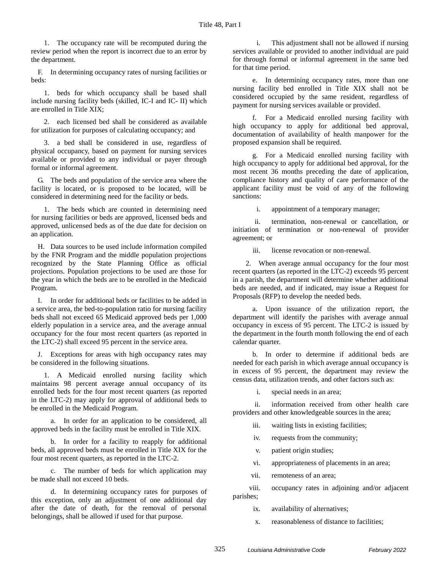1. The occupancy rate will be recomputed during the review period when the report is incorrect due to an error by the department.

F. In determining occupancy rates of nursing facilities or beds:

1. beds for which occupancy shall be based shall include nursing facility beds (skilled, IC-I and IC- II) which are enrolled in Title XIX;

2. each licensed bed shall be considered as available for utilization for purposes of calculating occupancy; and

3. a bed shall be considered in use, regardless of physical occupancy, based on payment for nursing services available or provided to any individual or payer through formal or informal agreement.

G. The beds and population of the service area where the facility is located, or is proposed to be located, will be considered in determining need for the facility or beds.

1. The beds which are counted in determining need for nursing facilities or beds are approved, licensed beds and approved, unlicensed beds as of the due date for decision on an application.

H. Data sources to be used include information compiled by the FNR Program and the middle population projections recognized by the State Planning Office as official projections. Population projections to be used are those for the year in which the beds are to be enrolled in the Medicaid Program.

I. In order for additional beds or facilities to be added in a service area, the bed-to-population ratio for nursing facility beds shall not exceed 65 Medicaid approved beds per 1,000 elderly population in a service area, and the average annual occupancy for the four most recent quarters (as reported in the LTC-2) shall exceed 95 percent in the service area.

J. Exceptions for areas with high occupancy rates may be considered in the following situations.

1. A Medicaid enrolled nursing facility which maintains 98 percent average annual occupancy of its enrolled beds for the four most recent quarters (as reported in the LTC-2) may apply for approval of additional beds to be enrolled in the Medicaid Program.

a. In order for an application to be considered, all approved beds in the facility must be enrolled in Title XIX.

b. In order for a facility to reapply for additional beds, all approved beds must be enrolled in Title XIX for the four most recent quarters, as reported in the LTC-2.

c. The number of beds for which application may be made shall not exceed 10 beds.

d. In determining occupancy rates for purposes of this exception, only an adjustment of one additional day after the date of death, for the removal of personal belongings, shall be allowed if used for that purpose.

i. This adjustment shall not be allowed if nursing services available or provided to another individual are paid for through formal or informal agreement in the same bed for that time period.

e. In determining occupancy rates, more than one nursing facility bed enrolled in Title XIX shall not be considered occupied by the same resident, regardless of payment for nursing services available or provided.

f. For a Medicaid enrolled nursing facility with high occupancy to apply for additional bed approval, documentation of availability of health manpower for the proposed expansion shall be required.

g. For a Medicaid enrolled nursing facility with high occupancy to apply for additional bed approval, for the most recent 36 months preceding the date of application, compliance history and quality of care performance of the applicant facility must be void of any of the following sanctions:

i. appointment of a temporary manager;

ii. termination, non-renewal or cancellation, or initiation of termination or non-renewal of provider agreement; or

iii. license revocation or non-renewal.

2. When average annual occupancy for the four most recent quarters (as reported in the LTC-2) exceeds 95 percent in a parish, the department will determine whether additional beds are needed, and if indicated, may issue a Request for Proposals (RFP) to develop the needed beds.

a. Upon issuance of the utilization report, the department will identify the parishes with average annual occupancy in excess of 95 percent. The LTC-2 is issued by the department in the fourth month following the end of each calendar quarter.

b. In order to determine if additional beds are needed for each parish in which average annual occupancy is in excess of 95 percent, the department may review the census data, utilization trends, and other factors such as:

i. special needs in an area;

ii. information received from other health care providers and other knowledgeable sources in the area;

iii. waiting lists in existing facilities;

iv. requests from the community;

v. patient origin studies;

vi. appropriateness of placements in an area;

vii. remoteness of an area;

viii. occupancy rates in adjoining and/or adjacent parishes;

ix. availability of alternatives;

x. reasonableness of distance to facilities;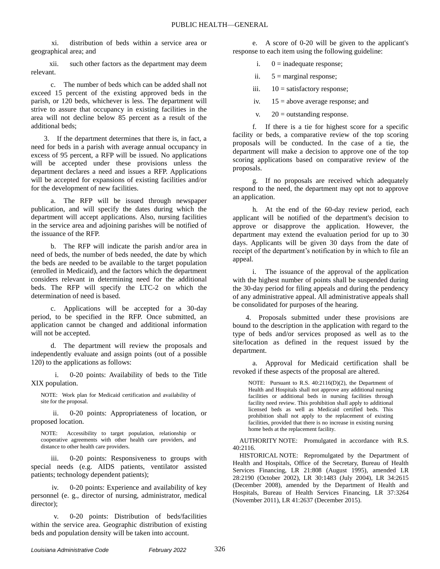xi. distribution of beds within a service area or geographical area; and

xii. such other factors as the department may deem relevant.

c. The number of beds which can be added shall not exceed 15 percent of the existing approved beds in the parish, or 120 beds, whichever is less. The department will strive to assure that occupancy in existing facilities in the area will not decline below 85 percent as a result of the additional beds;

3. If the department determines that there is, in fact, a need for beds in a parish with average annual occupancy in excess of 95 percent, a RFP will be issued. No applications will be accepted under these provisions unless the department declares a need and issues a RFP. Applications will be accepted for expansions of existing facilities and/or for the development of new facilities.

a. The RFP will be issued through newspaper publication, and will specify the dates during which the department will accept applications. Also, nursing facilities in the service area and adjoining parishes will be notified of the issuance of the RFP.

b. The RFP will indicate the parish and/or area in need of beds, the number of beds needed, the date by which the beds are needed to be available to the target population (enrolled in Medicaid), and the factors which the department considers relevant in determining need for the additional beds. The RFP will specify the LTC-2 on which the determination of need is based.

c. Applications will be accepted for a 30-day period, to be specified in the RFP. Once submitted, an application cannot be changed and additional information will not be accepted.

d. The department will review the proposals and independently evaluate and assign points (out of a possible 120) to the applications as follows:

i. 0-20 points: Availability of beds to the Title XIX population.

NOTE: Work plan for Medicaid certification and availability of site for the proposal.

ii. 0-20 points: Appropriateness of location, or proposed location.

NOTE: Accessibility to target population, relationship or cooperative agreements with other health care providers, and distance to other health care providers.

iii. 0-20 points: Responsiveness to groups with special needs (e.g. AIDS patients, ventilator assisted patients; technology dependent patients);

iv. 0-20 points: Experience and availability of key personnel (e. g., director of nursing, administrator, medical director);

v. 0-20 points: Distribution of beds/facilities within the service area. Geographic distribution of existing beds and population density will be taken into account.

e. A score of 0-20 will be given to the applicant's response to each item using the following guideline:

- i.  $0 =$  inadequate response;
- ii.  $5 =$  marginal response;
- iii.  $10 =$  satisfactory response;
- iv.  $15 =$  above average response; and
- v.  $20 =$  outstanding response.

f. If there is a tie for highest score for a specific facility or beds, a comparative review of the top scoring proposals will be conducted. In the case of a tie, the department will make a decision to approve one of the top scoring applications based on comparative review of the proposals.

g. If no proposals are received which adequately respond to the need, the department may opt not to approve an application.

h. At the end of the 60-day review period, each applicant will be notified of the department's decision to approve or disapprove the application. However, the department may extend the evaluation period for up to 30 days. Applicants will be given 30 days from the date of receipt of the department's notification by in which to file an appeal.

i. The issuance of the approval of the application with the highest number of points shall be suspended during the 30-day period for filing appeals and during the pendency of any administrative appeal. All administrative appeals shall be consolidated for purposes of the hearing.

4. Proposals submitted under these provisions are bound to the description in the application with regard to the type of beds and/or services proposed as well as to the site/location as defined in the request issued by the department.

a. Approval for Medicaid certification shall be revoked if these aspects of the proposal are altered.

NOTE: Pursuant to R.S. 40:2116(D)(2), the Department of Health and Hospitals shall not approve any additional nursing facilities or additional beds in nursing facilities through facility need review. This prohibition shall apply to additional licensed beds as well as Medicaid certified beds. This prohibition shall not apply to the replacement of existing facilities, provided that there is no increase in existing nursing home beds at the replacement facility.

AUTHORITY NOTE: Promulgated in accordance with R.S. 40:2116.

HISTORICAL NOTE: Repromulgated by the Department of Health and Hospitals, Office of the Secretary, Bureau of Health Services Financing, LR 21:808 (August 1995), amended LR 28:2190 (October 2002), LR 30:1483 (July 2004), LR 34:2615 (December 2008), amended by the Department of Health and Hospitals, Bureau of Health Services Financing, LR 37:3264 (November 2011), LR 41:2637 (December 2015).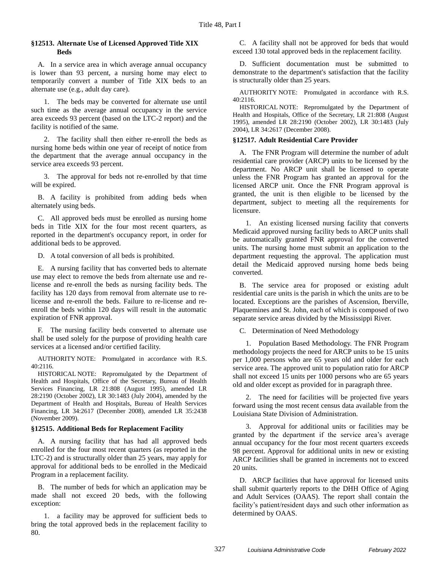### **§12513. Alternate Use of Licensed Approved Title XIX Beds**

A. In a service area in which average annual occupancy is lower than 93 percent, a nursing home may elect to temporarily convert a number of Title XIX beds to an alternate use (e.g., adult day care).

1. The beds may be converted for alternate use until such time as the average annual occupancy in the service area exceeds 93 percent (based on the LTC-2 report) and the facility is notified of the same.

2. The facility shall then either re-enroll the beds as nursing home beds within one year of receipt of notice from the department that the average annual occupancy in the service area exceeds 93 percent.

3. The approval for beds not re-enrolled by that time will be expired.

B. A facility is prohibited from adding beds when alternately using beds.

C. All approved beds must be enrolled as nursing home beds in Title XIX for the four most recent quarters, as reported in the department's occupancy report, in order for additional beds to be approved.

D. A total conversion of all beds is prohibited.

E. A nursing facility that has converted beds to alternate use may elect to remove the beds from alternate use and relicense and re-enroll the beds as nursing facility beds. The facility has 120 days from removal from alternate use to relicense and re-enroll the beds. Failure to re-license and reenroll the beds within 120 days will result in the automatic expiration of FNR approval.

F. The nursing facility beds converted to alternate use shall be used solely for the purpose of providing health care services at a licensed and/or certified facility.

AUTHORITY NOTE: Promulgated in accordance with R.S. 40:2116.

HISTORICAL NOTE: Repromulgated by the Department of Health and Hospitals, Office of the Secretary, Bureau of Health Services Financing, LR 21:808 (August 1995), amended LR 28:2190 (October 2002), LR 30:1483 (July 2004), amended by the Department of Health and Hospitals, Bureau of Health Services Financing, LR 34:2617 (December 2008), amended LR 35:2438 (November 2009).

### **§12515. Additional Beds for Replacement Facility**

A. A nursing facility that has had all approved beds enrolled for the four most recent quarters (as reported in the LTC-2) and is structurally older than 25 years, may apply for approval for additional beds to be enrolled in the Medicaid Program in a replacement facility.

B. The number of beds for which an application may be made shall not exceed 20 beds, with the following exception:

1. a facility may be approved for sufficient beds to bring the total approved beds in the replacement facility to 80.

C. A facility shall not be approved for beds that would exceed 130 total approved beds in the replacement facility.

D. Sufficient documentation must be submitted to demonstrate to the department's satisfaction that the facility is structurally older than 25 years.

AUTHORITY NOTE: Promulgated in accordance with R.S. 40:2116.

HISTORICAL NOTE: Repromulgated by the Department of Health and Hospitals, Office of the Secretary, LR 21:808 (August 1995), amended LR 28:2190 (October 2002), LR 30:1483 (July 2004), LR 34:2617 (December 2008).

### **§12517. Adult Residential Care Provider**

A. The FNR Program will determine the number of adult residential care provider (ARCP) units to be licensed by the department. No ARCP unit shall be licensed to operate unless the FNR Program has granted an approval for the licensed ARCP unit. Once the FNR Program approval is granted, the unit is then eligible to be licensed by the department, subject to meeting all the requirements for licensure.

1. An existing licensed nursing facility that converts Medicaid approved nursing facility beds to ARCP units shall be automatically granted FNR approval for the converted units. The nursing home must submit an application to the department requesting the approval. The application must detail the Medicaid approved nursing home beds being converted.

B. The service area for proposed or existing adult residential care units is the parish in which the units are to be located. Exceptions are the parishes of Ascension, Iberville, Plaquemines and St. John, each of which is composed of two separate service areas divided by the Mississippi River.

C. Determination of Need Methodology

1. Population Based Methodology. The FNR Program methodology projects the need for ARCP units to be 15 units per 1,000 persons who are 65 years old and older for each service area. The approved unit to population ratio for ARCP shall not exceed 15 units per 1000 persons who are 65 years old and older except as provided for in paragraph three.

2. The need for facilities will be projected five years forward using the most recent census data available from the Louisiana State Division of Administration.

3. Approval for additional units or facilities may be granted by the department if the service area's average annual occupancy for the four most recent quarters exceeds 98 percent. Approval for additional units in new or existing ARCP facilities shall be granted in increments not to exceed 20 units.

D. ARCP facilities that have approval for licensed units shall submit quarterly reports to the DHH Office of Aging and Adult Services (OAAS). The report shall contain the facility's patient/resident days and such other information as determined by OAAS.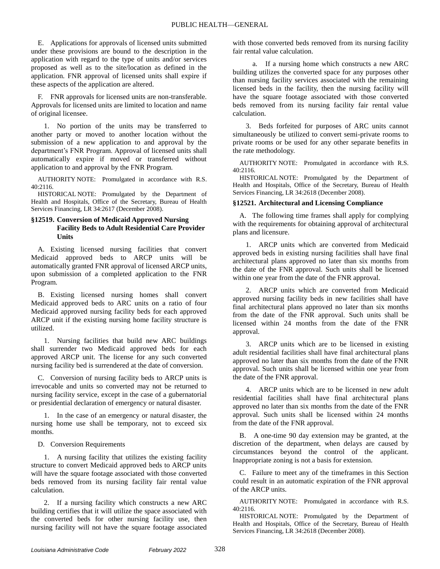E. Applications for approvals of licensed units submitted under these provisions are bound to the description in the application with regard to the type of units and/or services proposed as well as to the site/location as defined in the application. FNR approval of licensed units shall expire if these aspects of the application are altered.

F. FNR approvals for licensed units are non-transferable. Approvals for licensed units are limited to location and name of original licensee.

1. No portion of the units may be transferred to another party or moved to another location without the submission of a new application to and approval by the department's FNR Program. Approval of licensed units shall automatically expire if moved or transferred without application to and approval by the FNR Program.

AUTHORITY NOTE: Promulgated in accordance with R.S. 40:2116.

HISTORICAL NOTE: Promulgated by the Department of Health and Hospitals, Office of the Secretary, Bureau of Health Services Financing, LR 34:2617 (December 2008).

### **§12519. Conversion of Medicaid Approved Nursing Facility Beds to Adult Residential Care Provider Units**

A. Existing licensed nursing facilities that convert Medicaid approved beds to ARCP units will be automatically granted FNR approval of licensed ARCP units, upon submission of a completed application to the FNR Program.

B. Existing licensed nursing homes shall convert Medicaid approved beds to ARC units on a ratio of four Medicaid approved nursing facility beds for each approved ARCP unit if the existing nursing home facility structure is utilized.

1. Nursing facilities that build new ARC buildings shall surrender two Medicaid approved beds for each approved ARCP unit. The license for any such converted nursing facility bed is surrendered at the date of conversion.

C. Conversion of nursing facility beds to ARCP units is irrevocable and units so converted may not be returned to nursing facility service, except in the case of a gubernatorial or presidential declaration of emergency or natural disaster.

1. In the case of an emergency or natural disaster, the nursing home use shall be temporary, not to exceed six months.

D. Conversion Requirements

1. A nursing facility that utilizes the existing facility structure to convert Medicaid approved beds to ARCP units will have the square footage associated with those converted beds removed from its nursing facility fair rental value calculation.

2. If a nursing facility which constructs a new ARC building certifies that it will utilize the space associated with the converted beds for other nursing facility use, then nursing facility will not have the square footage associated with those converted beds removed from its nursing facility fair rental value calculation.

a. If a nursing home which constructs a new ARC building utilizes the converted space for any purposes other than nursing facility services associated with the remaining licensed beds in the facility, then the nursing facility will have the square footage associated with those converted beds removed from its nursing facility fair rental value calculation.

3. Beds forfeited for purposes of ARC units cannot simultaneously be utilized to convert semi-private rooms to private rooms or be used for any other separate benefits in the rate methodology.

AUTHORITY NOTE: Promulgated in accordance with R.S. 40:2116.

HISTORICAL NOTE: Promulgated by the Department of Health and Hospitals, Office of the Secretary, Bureau of Health Services Financing, LR 34:2618 (December 2008).

### **§12521. Architectural and Licensing Compliance**

A. The following time frames shall apply for complying with the requirements for obtaining approval of architectural plans and licensure.

1. ARCP units which are converted from Medicaid approved beds in existing nursing facilities shall have final architectural plans approved no later than six months from the date of the FNR approval. Such units shall be licensed within one year from the date of the FNR approval.

2. ARCP units which are converted from Medicaid approved nursing facility beds in new facilities shall have final architectural plans approved no later than six months from the date of the FNR approval. Such units shall be licensed within 24 months from the date of the FNR approval.

3. ARCP units which are to be licensed in existing adult residential facilities shall have final architectural plans approved no later than six months from the date of the FNR approval. Such units shall be licensed within one year from the date of the FNR approval.

4. ARCP units which are to be licensed in new adult residential facilities shall have final architectural plans approved no later than six months from the date of the FNR approval. Such units shall be licensed within 24 months from the date of the FNR approval.

B. A one-time 90 day extension may be granted, at the discretion of the department, when delays are caused by circumstances beyond the control of the applicant. Inappropriate zoning is not a basis for extension.

C. Failure to meet any of the timeframes in this Section could result in an automatic expiration of the FNR approval of the ARCP units.

AUTHORITY NOTE: Promulgated in accordance with R.S. 40:2116.

HISTORICAL NOTE: Promulgated by the Department of Health and Hospitals, Office of the Secretary, Bureau of Health Services Financing, LR 34:2618 (December 2008).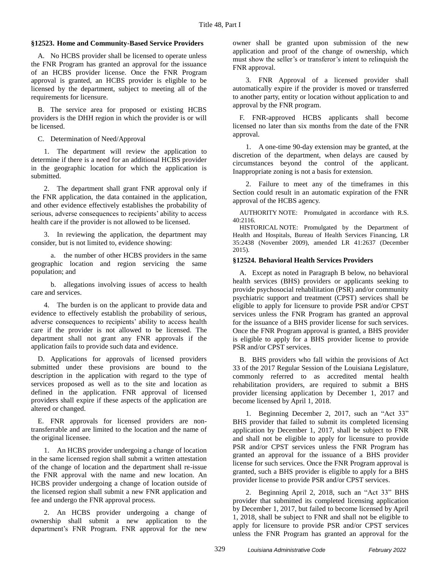### **§12523. Home and Community-Based Service Providers**

A. No HCBS provider shall be licensed to operate unless the FNR Program has granted an approval for the issuance of an HCBS provider license. Once the FNR Program approval is granted, an HCBS provider is eligible to be licensed by the department, subject to meeting all of the requirements for licensure.

B. The service area for proposed or existing HCBS providers is the DHH region in which the provider is or will be licensed.

C. Determination of Need/Approval

1. The department will review the application to determine if there is a need for an additional HCBS provider in the geographic location for which the application is submitted.

2. The department shall grant FNR approval only if the FNR application, the data contained in the application, and other evidence effectively establishes the probability of serious, adverse consequences to recipients' ability to access health care if the provider is not allowed to be licensed.

3. In reviewing the application, the department may consider, but is not limited to, evidence showing:

a. the number of other HCBS providers in the same geographic location and region servicing the same population; and

b. allegations involving issues of access to health care and services.

4. The burden is on the applicant to provide data and evidence to effectively establish the probability of serious, adverse consequences to recipients' ability to access health care if the provider is not allowed to be licensed. The department shall not grant any FNR approvals if the application fails to provide such data and evidence.

D. Applications for approvals of licensed providers submitted under these provisions are bound to the description in the application with regard to the type of services proposed as well as to the site and location as defined in the application. FNR approval of licensed providers shall expire if these aspects of the application are altered or changed.

E. FNR approvals for licensed providers are nontransferrable and are limited to the location and the name of the original licensee.

1. An HCBS provider undergoing a change of location in the same licensed region shall submit a written attestation of the change of location and the department shall re-issue the FNR approval with the name and new location. An HCBS provider undergoing a change of location outside of the licensed region shall submit a new FNR application and fee and undergo the FNR approval process.

2. An HCBS provider undergoing a change of ownership shall submit a new application to the department's FNR Program. FNR approval for the new

owner shall be granted upon submission of the new application and proof of the change of ownership, which must show the seller's or transferor's intent to relinquish the FNR approval.

3. FNR Approval of a licensed provider shall automatically expire if the provider is moved or transferred to another party, entity or location without application to and approval by the FNR program.

F. FNR-approved HCBS applicants shall become licensed no later than six months from the date of the FNR approval.

1. A one-time 90-day extension may be granted, at the discretion of the department, when delays are caused by circumstances beyond the control of the applicant. Inappropriate zoning is not a basis for extension.

2. Failure to meet any of the timeframes in this Section could result in an automatic expiration of the FNR approval of the HCBS agency.

AUTHORITY NOTE: Promulgated in accordance with R.S. 40:2116.

HISTORICAL NOTE: Promulgated by the Department of Health and Hospitals, Bureau of Health Services Financing, LR 35:2438 (November 2009), amended LR 41:2637 (December 2015).

### **§12524. Behavioral Health Services Providers**

A. Except as noted in Paragraph B below, no behavioral health services (BHS) providers or applicants seeking to provide psychosocial rehabilitation (PSR) and/or community psychiatric support and treatment (CPST) services shall be eligible to apply for licensure to provide PSR and/or CPST services unless the FNR Program has granted an approval for the issuance of a BHS provider license for such services. Once the FNR Program approval is granted, a BHS provider is eligible to apply for a BHS provider license to provide PSR and/or CPST services.

B. BHS providers who fall within the provisions of Act 33 of the 2017 Regular Session of the Louisiana Legislature, commonly referred to as accredited mental health rehabilitation providers, are required to submit a BHS provider licensing application by December 1, 2017 and become licensed by April 1, 2018.

1. Beginning December 2, 2017, such an "Act 33" BHS provider that failed to submit its completed licensing application by December 1, 2017, shall be subject to FNR and shall not be eligible to apply for licensure to provide PSR and/or CPST services unless the FNR Program has granted an approval for the issuance of a BHS provider license for such services. Once the FNR Program approval is granted, such a BHS provider is eligible to apply for a BHS provider license to provide PSR and/or CPST services.

2. Beginning April 2, 2018, such an "Act 33" BHS provider that submitted its completed licensing application by December 1, 2017, but failed to become licensed by April 1, 2018, shall be subject to FNR and shall not be eligible to apply for licensure to provide PSR and/or CPST services unless the FNR Program has granted an approval for the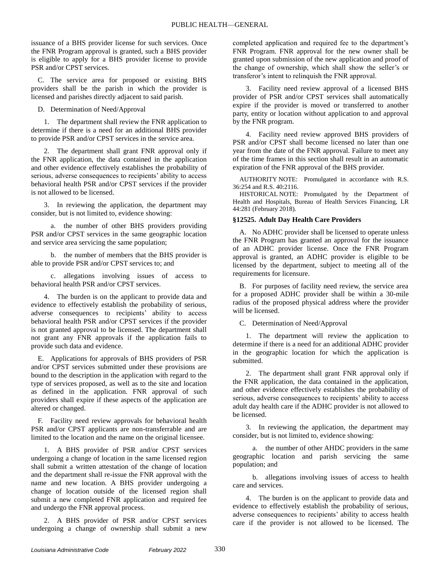issuance of a BHS provider license for such services. Once the FNR Program approval is granted, such a BHS provider is eligible to apply for a BHS provider license to provide PSR and/or CPST services.

C. The service area for proposed or existing BHS providers shall be the parish in which the provider is licensed and parishes directly adjacent to said parish.

D. Determination of Need/Approval

1. The department shall review the FNR application to determine if there is a need for an additional BHS provider to provide PSR and/or CPST services in the service area.

2. The department shall grant FNR approval only if the FNR application, the data contained in the application and other evidence effectively establishes the probability of serious, adverse consequences to recipients' ability to access behavioral health PSR and/or CPST services if the provider is not allowed to be licensed.

3. In reviewing the application, the department may consider, but is not limited to, evidence showing:

a. the number of other BHS providers providing PSR and/or CPST services in the same geographic location and service area servicing the same population;

b. the number of members that the BHS provider is able to provide PSR and/or CPST services to; and

c. allegations involving issues of access to behavioral health PSR and/or CPST services.

4. The burden is on the applicant to provide data and evidence to effectively establish the probability of serious, adverse consequences to recipients' ability to access behavioral health PSR and/or CPST services if the provider is not granted approval to be licensed. The department shall not grant any FNR approvals if the application fails to provide such data and evidence.

E. Applications for approvals of BHS providers of PSR and/or CPST services submitted under these provisions are bound to the description in the application with regard to the type of services proposed, as well as to the site and location as defined in the application. FNR approval of such providers shall expire if these aspects of the application are altered or changed.

F. Facility need review approvals for behavioral health PSR and/or CPST applicants are non-transferrable and are limited to the location and the name on the original licensee.

1. A BHS provider of PSR and/or CPST services undergoing a change of location in the same licensed region shall submit a written attestation of the change of location and the department shall re-issue the FNR approval with the name and new location. A BHS provider undergoing a change of location outside of the licensed region shall submit a new completed FNR application and required fee and undergo the FNR approval process.

2. A BHS provider of PSR and/or CPST services undergoing a change of ownership shall submit a new

completed application and required fee to the department's FNR Program. FNR approval for the new owner shall be granted upon submission of the new application and proof of the change of ownership, which shall show the seller's or transferor's intent to relinquish the FNR approval.

3. Facility need review approval of a licensed BHS provider of PSR and/or CPST services shall automatically expire if the provider is moved or transferred to another party, entity or location without application to and approval by the FNR program.

4. Facility need review approved BHS providers of PSR and/or CPST shall become licensed no later than one year from the date of the FNR approval. Failure to meet any of the time frames in this section shall result in an automatic expiration of the FNR approval of the BHS provider.

AUTHORITY NOTE: Promulgated in accordance with R.S. 36:254 and R.S. 40:2116.

HISTORICAL NOTE: Promulgated by the Department of Health and Hospitals, Bureau of Health Services Financing, LR 44:281 (February 2018).

### **§12525. Adult Day Health Care Providers**

A. No ADHC provider shall be licensed to operate unless the FNR Program has granted an approval for the issuance of an ADHC provider license. Once the FNR Program approval is granted, an ADHC provider is eligible to be licensed by the department, subject to meeting all of the requirements for licensure.

B. For purposes of facility need review, the service area for a proposed ADHC provider shall be within a 30-mile radius of the proposed physical address where the provider will be licensed.

### C. Determination of Need/Approval

1. The department will review the application to determine if there is a need for an additional ADHC provider in the geographic location for which the application is submitted.

2. The department shall grant FNR approval only if the FNR application, the data contained in the application, and other evidence effectively establishes the probability of serious, adverse consequences to recipients' ability to access adult day health care if the ADHC provider is not allowed to be licensed.

3. In reviewing the application, the department may consider, but is not limited to, evidence showing:

a. the number of other AHDC providers in the same geographic location and parish servicing the same population; and

b. allegations involving issues of access to health care and services.

4. The burden is on the applicant to provide data and evidence to effectively establish the probability of serious, adverse consequences to recipients' ability to access health care if the provider is not allowed to be licensed. The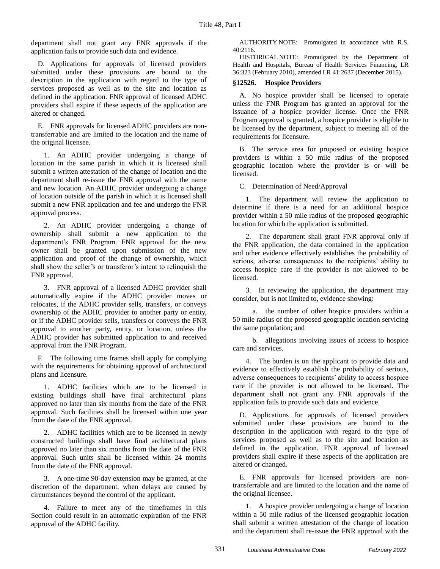department shall not grant any FNR approvals if the application fails to provide such data and evidence.

D. Applications for approvals of licensed providers submitted under these provisions are bound to the description in the application with regard to the type of services proposed as well as to the site and location as defined in the application. FNR approval of licensed ADHC providers shall expire if these aspects of the application are altered or changed.

E. FNR approvals for licensed ADHC providers are nontransferrable and are limited to the location and the name of the original licensee.

1. An ADHC provider undergoing a change of location in the same parish in which it is licensed shall submit a written attestation of the change of location and the department shall re-issue the FNR approval with the name and new location. An ADHC provider undergoing a change of location outside of the parish in which it is licensed shall submit a new FNR application and fee and undergo the FNR approval process.

2. An ADHC provider undergoing a change of ownership shall submit a new application to the department's FNR Program. FNR approval for the new owner shall be granted upon submission of the new application and proof of the change of ownership, which shall show the seller's or transferor's intent to relinquish the FNR approval.

3. FNR approval of a licensed ADHC provider shall automatically expire if the ADHC provider moves or relocates, if the ADHC provider sells, transfers, or conveys ownership of the ADHC provider to another party or entity, or if the ADHC provider sells, transfers or conveys the FNR approval to another party, entity, or location, unless the ADHC provider has submitted application to and received approval from the FNR Program.

F. The following time frames shall apply for complying with the requirements for obtaining approval of architectural plans and licensure.

1. ADHC facilities which are to be licensed in existing buildings shall have final architectural plans approved no later than six months from the date of the FNR approval. Such facilities shall be licensed within one year from the date of the FNR approval.

2. ADHC facilities which are to be licensed in newly constructed buildings shall have final architectural plans approved no later than six months from the date of the FNR approval. Such units shall be licensed within 24 months from the date of the FNR approval.

3. A one-time 90-day extension may be granted, at the discretion of the department, when delays are caused by circumstances beyond the control of the applicant.

4. Failure to meet any of the timeframes in this Section could result in an automatic expiration of the FNR approval of the ADHC facility.

AUTHORITY NOTE: Promulgated in accordance with R.S.  $40.2116$ 

HISTORICAL NOTE: Promulgated by the Department of Health and Hospitals, Bureau of Health Services Financing, LR 36:323 (February 2010), amended LR 41:2637 (December 2015).

### **§12526. Hospice Providers**

A. No hospice provider shall be licensed to operate unless the FNR Program has granted an approval for the issuance of a hospice provider license. Once the FNR Program approval is granted, a hospice provider is eligible to be licensed by the department, subject to meeting all of the requirements for licensure.

B. The service area for proposed or existing hospice providers is within a 50 mile radius of the proposed geographic location where the provider is or will be licensed.

C. Determination of Need/Approval

1. The department will review the application to determine if there is a need for an additional hospice provider within a 50 mile radius of the proposed geographic location for which the application is submitted.

2. The department shall grant FNR approval only if the FNR application, the data contained in the application and other evidence effectively establishes the probability of serious, adverse consequences to the recipients' ability to access hospice care if the provider is not allowed to be licensed.

3. In reviewing the application, the department may consider, but is not limited to, evidence showing:

a. the number of other hospice providers within a 50 mile radius of the proposed geographic location servicing the same population; and

b. allegations involving issues of access to hospice care and services.

4. The burden is on the applicant to provide data and evidence to effectively establish the probability of serious, adverse consequences to recipients' ability to access hospice care if the provider is not allowed to be licensed. The department shall not grant any FNR approvals if the application fails to provide such data and evidence.

D. Applications for approvals of licensed providers submitted under these provisions are bound to the description in the application with regard to the type of services proposed as well as to the site and location as defined in the application. FNR approval of licensed providers shall expire if these aspects of the application are altered or changed.

E. FNR approvals for licensed providers are nontransferrable and are limited to the location and the name of the original licensee.

1. A hospice provider undergoing a change of location within a 50 mile radius of the licensed geographic location shall submit a written attestation of the change of location and the department shall re-issue the FNR approval with the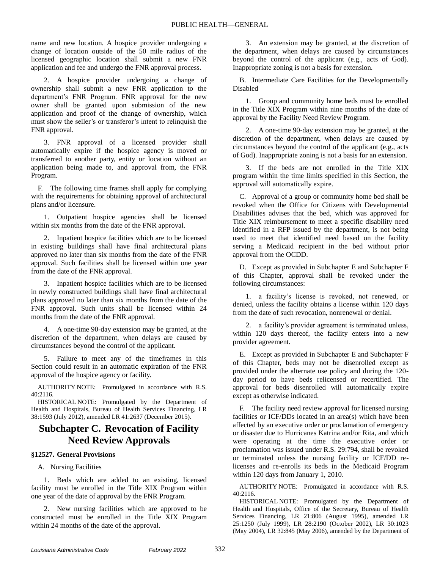name and new location. A hospice provider undergoing a change of location outside of the 50 mile radius of the licensed geographic location shall submit a new FNR application and fee and undergo the FNR approval process.

2. A hospice provider undergoing a change of ownership shall submit a new FNR application to the department's FNR Program. FNR approval for the new owner shall be granted upon submission of the new application and proof of the change of ownership, which must show the seller's or transferor's intent to relinquish the FNR approval.

3. FNR approval of a licensed provider shall automatically expire if the hospice agency is moved or transferred to another party, entity or location without an application being made to, and approval from, the FNR Program.

F. The following time frames shall apply for complying with the requirements for obtaining approval of architectural plans and/or licensure.

1. Outpatient hospice agencies shall be licensed within six months from the date of the FNR approval.

2. Inpatient hospice facilities which are to be licensed in existing buildings shall have final architectural plans approved no later than six months from the date of the FNR approval. Such facilities shall be licensed within one year from the date of the FNR approval.

3. Inpatient hospice facilities which are to be licensed in newly constructed buildings shall have final architectural plans approved no later than six months from the date of the FNR approval. Such units shall be licensed within 24 months from the date of the FNR approval.

4. A one-time 90-day extension may be granted, at the discretion of the department, when delays are caused by circumstances beyond the control of the applicant.

5. Failure to meet any of the timeframes in this Section could result in an automatic expiration of the FNR approval of the hospice agency or facility.

AUTHORITY NOTE: Promulgated in accordance with R.S. 40:2116.

HISTORICAL NOTE: Promulgated by the Department of Health and Hospitals, Bureau of Health Services Financing, LR 38:1593 (July 2012), amended LR 41:2637 (December 2015).

# **Subchapter C. Revocation of Facility Need Review Approvals**

### **§12527. General Provisions**

### A. Nursing Facilities

1. Beds which are added to an existing, licensed facility must be enrolled in the Title XIX Program within one year of the date of approval by the FNR Program.

2. New nursing facilities which are approved to be constructed must be enrolled in the Title XIX Program within 24 months of the date of the approval.

3. An extension may be granted, at the discretion of the department, when delays are caused by circumstances beyond the control of the applicant (e.g., acts of God). Inappropriate zoning is not a basis for extension.

B. Intermediate Care Facilities for the Developmentally Disabled

1. Group and community home beds must be enrolled in the Title XIX Program within nine months of the date of approval by the Facility Need Review Program.

2. A one-time 90-day extension may be granted, at the discretion of the department, when delays are caused by circumstances beyond the control of the applicant (e.g., acts of God). Inappropriate zoning is not a basis for an extension.

3. If the beds are not enrolled in the Title XIX program within the time limits specified in this Section, the approval will automatically expire.

C. Approval of a group or community home bed shall be revoked when the Office for Citizens with Developmental Disabilities advises that the bed, which was approved for Title XIX reimbursement to meet a specific disability need identified in a RFP issued by the department, is not being used to meet that identified need based on the facility serving a Medicaid recipient in the bed without prior approval from the OCDD.

D. Except as provided in Subchapter E and Subchapter F of this Chapter, approval shall be revoked under the following circumstances:

1. a facility's license is revoked, not renewed, or denied, unless the facility obtains a license within 120 days from the date of such revocation, nonrenewal or denial.

2. a facility's provider agreement is terminated unless, within 120 days thereof, the facility enters into a new provider agreement.

E. Except as provided in Subchapter E and Subchapter F of this Chapter, beds may not be disenrolled except as provided under the alternate use policy and during the 120 day period to have beds relicensed or recertified. The approval for beds disenrolled will automatically expire except as otherwise indicated.

F. The facility need review approval for licensed nursing facilities or ICF/DDs located in an area(s) which have been affected by an executive order or proclamation of emergency or disaster due to Hurricanes Katrina and/or Rita, and which were operating at the time the executive order or proclamation was issued under R.S. 29:794, shall be revoked or terminated unless the nursing facility or ICF/DD relicenses and re-enrolls its beds in the Medicaid Program within 120 days from January 1, 2010.

AUTHORITY NOTE: Promulgated in accordance with R.S. 40:2116.

HISTORICAL NOTE: Promulgated by the Department of Health and Hospitals, Office of the Secretary, Bureau of Health Services Financing, LR 21:806 (August 1995), amended LR 25:1250 (July 1999), LR 28:2190 (October 2002), LR 30:1023 (May 2004), LR 32:845 (May 2006), amended by the Department of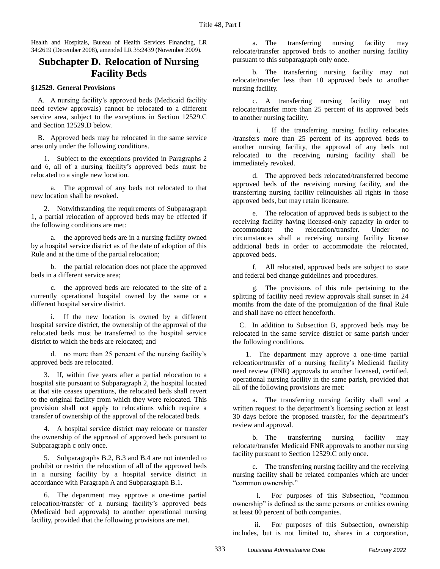Health and Hospitals, Bureau of Health Services Financing, LR 34:2619 (December 2008), amended LR 35:2439 (November 2009).

### **Subchapter D. Relocation of Nursing Facility Beds**

### **§12529. General Provisions**

A. A nursing facility's approved beds (Medicaid facility need review approvals) cannot be relocated to a different service area, subject to the exceptions in Section 12529.C and Section 12529.D below.

B. Approved beds may be relocated in the same service area only under the following conditions.

1. Subject to the exceptions provided in Paragraphs 2 and 6, all of a nursing facility's approved beds must be relocated to a single new location.

a. The approval of any beds not relocated to that new location shall be revoked.

2. Notwithstanding the requirements of Subparagraph 1, a partial relocation of approved beds may be effected if the following conditions are met:

a. the approved beds are in a nursing facility owned by a hospital service district as of the date of adoption of this Rule and at the time of the partial relocation;

b. the partial relocation does not place the approved beds in a different service area;

c. the approved beds are relocated to the site of a currently operational hospital owned by the same or a different hospital service district.

If the new location is owned by a different hospital service district, the ownership of the approval of the relocated beds must be transferred to the hospital service district to which the beds are relocated; and

d. no more than 25 percent of the nursing facility's approved beds are relocated.

3. If, within five years after a partial relocation to a hospital site pursuant to Subparagraph 2, the hospital located at that site ceases operations, the relocated beds shall revert to the original facility from which they were relocated. This provision shall not apply to relocations which require a transfer of ownership of the approval of the relocated beds.

4. A hospital service district may relocate or transfer the ownership of the approval of approved beds pursuant to Subparagraph c only once.

5. Subparagraphs B.2, B.3 and B.4 are not intended to prohibit or restrict the relocation of all of the approved beds in a nursing facility by a hospital service district in accordance with Paragraph A and Subparagraph B.1.

6. The department may approve a one-time partial relocation/transfer of a nursing facility's approved beds (Medicaid bed approvals) to another operational nursing facility, provided that the following provisions are met.

a. The transferring nursing facility may relocate/transfer approved beds to another nursing facility pursuant to this subparagraph only once.

b. The transferring nursing facility may not relocate/transfer less than 10 approved beds to another nursing facility.

c. A transferring nursing facility may not relocate/transfer more than 25 percent of its approved beds to another nursing facility.

i. If the transferring nursing facility relocates /transfers more than 25 percent of its approved beds to another nursing facility, the approval of any beds not relocated to the receiving nursing facility shall be immediately revoked.

d. The approved beds relocated/transferred become approved beds of the receiving nursing facility, and the transferring nursing facility relinquishes all rights in those approved beds, but may retain licensure.

e. The relocation of approved beds is subject to the receiving facility having licensed-only capacity in order to accommodate the relocation/transfer. Under no circumstances shall a receiving nursing facility license additional beds in order to accommodate the relocated, approved beds.

f. All relocated, approved beds are subject to state and federal bed change guidelines and procedures.

g. The provisions of this rule pertaining to the splitting of facility need review approvals shall sunset in 24 months from the date of the promulgation of the final Rule and shall have no effect henceforth.

C. In addition to Subsection B, approved beds may be relocated in the same service district or same parish under the following conditions.

1. The department may approve a one-time partial relocation/transfer of a nursing facility's Medicaid facility need review (FNR) approvals to another licensed, certified, operational nursing facility in the same parish, provided that all of the following provisions are met:

a. The transferring nursing facility shall send a written request to the department's licensing section at least 30 days before the proposed transfer, for the department's review and approval.

b. The transferring nursing facility may relocate/transfer Medicaid FNR approvals to another nursing facility pursuant to Section 12529.C only once.

c. The transferring nursing facility and the receiving nursing facility shall be related companies which are under "common ownership."

i. For purposes of this Subsection, "common ownership" is defined as the same persons or entities owning at least 80 percent of both companies.

ii. For purposes of this Subsection, ownership includes, but is not limited to, shares in a corporation,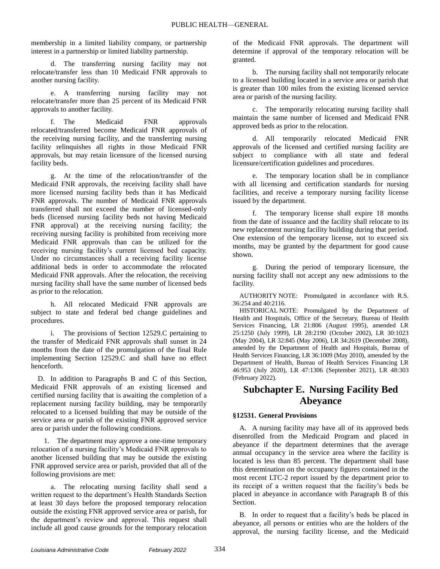membership in a limited liability company, or partnership interest in a partnership or limited liability partnership.

d. The transferring nursing facility may not relocate/transfer less than 10 Medicaid FNR approvals to another nursing facility.

e. A transferring nursing facility may not relocate/transfer more than 25 percent of its Medicaid FNR approvals to another facility.

f. The Medicaid FNR approvals relocated/transferred become Medicaid FNR approvals of the receiving nursing facility, and the transferring nursing facility relinquishes all rights in those Medicaid FNR approvals, but may retain licensure of the licensed nursing facility beds.

g. At the time of the relocation/transfer of the Medicaid FNR approvals, the receiving facility shall have more licensed nursing facility beds than it has Medicaid FNR approvals. The number of Medicaid FNR approvals transferred shall not exceed the number of licensed-only beds (licensed nursing facility beds not having Medicaid FNR approval) at the receiving nursing facility; the receiving nursing facility is prohibited from receiving more Medicaid FNR approvals than can be utilized for the receiving nursing facility's current licensed bed capacity. Under no circumstances shall a receiving facility license additional beds in order to accommodate the relocated Medicaid FNR approvals. After the relocation, the receiving nursing facility shall have the same number of licensed beds as prior to the relocation.

h. All relocated Medicaid FNR approvals are subject to state and federal bed change guidelines and procedures.

i. The provisions of Section 12529.C pertaining to the transfer of Medicaid FNR approvals shall sunset in 24 months from the date of the promulgation of the final Rule implementing Section 12529.C and shall have no effect henceforth.

D. In addition to Paragraphs B and C of this Section, Medicaid FNR approvals of an existing licensed and certified nursing facility that is awaiting the completion of a replacement nursing facility building, may be temporarily relocated to a licensed building that may be outside of the service area or parish of the existing FNR approved service area or parish under the following conditions.

1. The department may approve a one-time temporary relocation of a nursing facility's Medicaid FNR approvals to another licensed building that may be outside the existing FNR approved service area or parish, provided that all of the following provisions are met:

a. The relocating nursing facility shall send a written request to the department's Health Standards Section at least 30 days before the proposed temporary relocation outside the existing FNR approved service area or parish, for the department's review and approval. This request shall include all good cause grounds for the temporary relocation

of the Medicaid FNR approvals. The department will determine if approval of the temporary relocation will be granted.

b. The nursing facility shall not temporarily relocate to a licensed building located in a service area or parish that is greater than 100 miles from the existing licensed service area or parish of the nursing facility.

c. The temporarily relocating nursing facility shall maintain the same number of licensed and Medicaid FNR approved beds as prior to the relocation.

d. All temporarily relocated Medicaid FNR approvals of the licensed and certified nursing facility are subject to compliance with all state and federal licensure/certification guidelines and procedures.

e. The temporary location shall be in compliance with all licensing and certification standards for nursing facilities, and receive a temporary nursing facility license issued by the department.

f. The temporary license shall expire 18 months from the date of issuance and the facility shall relocate to its new replacement nursing facility building during that period. One extension of the temporary license, not to exceed six months, may be granted by the department for good cause shown.

g. During the period of temporary licensure, the nursing facility shall not accept any new admissions to the facility.

AUTHORITY NOTE: Promulgated in accordance with R.S. 36:254 and 40:2116.

HISTORICAL NOTE: Promulgated by the Department of Health and Hospitals, Office of the Secretary, Bureau of Health Services Financing, LR 21:806 (August 1995), amended LR 25:1250 (July 1999), LR 28:2190 (October 2002), LR 30:1023 (May 2004), LR 32:845 (May 2006), LR 34:2619 (December 2008), amended by the Department of Health and Hospitals, Bureau of Health Services Financing, LR 36:1009 (May 2010), amended by the Department of Health, Bureau of Health Services Financing LR 46:953 (July 2020), LR 47:1306 (September 2021), LR 48:303 (February 2022).

### **Subchapter E. Nursing Facility Bed Abeyance**

### **§12531. General Provisions**

A. A nursing facility may have all of its approved beds disenrolled from the Medicaid Program and placed in abeyance if the department determines that the average annual occupancy in the service area where the facility is located is less than 85 percent. The department shall base this determination on the occupancy figures contained in the most recent LTC-2 report issued by the department prior to its receipt of a written request that the facility's beds be placed in abeyance in accordance with Paragraph B of this Section.

B. In order to request that a facility's beds be placed in abeyance, all persons or entities who are the holders of the approval, the nursing facility license, and the Medicaid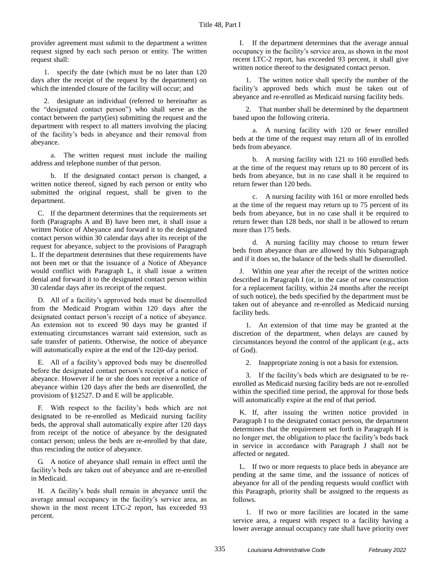provider agreement must submit to the department a written request signed by each such person or entity. The written request shall:

1. specify the date (which must be no later than 120 days after the receipt of the request by the department) on which the intended closure of the facility will occur; and

2. designate an individual (referred to hereinafter as the "designated contact person") who shall serve as the contact between the party(ies) submitting the request and the department with respect to all matters involving the placing of the facility's beds in abeyance and their removal from abeyance.

a. The written request must include the mailing address and telephone number of that person.

b. If the designated contact person is changed, a written notice thereof, signed by each person or entity who submitted the original request, shall be given to the department.

C. If the department determines that the requirements set forth (Paragraphs A and B) have been met, it shall issue a written Notice of Abeyance and forward it to the designated contact person within 30 calendar days after its receipt of the request for abeyance, subject to the provisions of Paragraph L. If the department determines that these requirements have not been met or that the issuance of a Notice of Abeyance would conflict with Paragraph L, it shall issue a written denial and forward it to the designated contact person within 30 calendar days after its receipt of the request.

D. All of a facility's approved beds must be disenrolled from the Medicaid Program within 120 days after the designated contact person's receipt of a notice of abeyance. An extension not to exceed 90 days may be granted if extenuating circumstances warrant said extension, such as safe transfer of patients. Otherwise, the notice of abeyance will automatically expire at the end of the 120-day period.

E. All of a facility's approved beds may be disenrolled before the designated contact person's receipt of a notice of abeyance. However if he or she does not receive a notice of abeyance within 120 days after the beds are disenrolled, the provisions of §12527. D and E will be applicable.

F. With respect to the facility's beds which are not designated to be re-enrolled as Medicaid nursing facility beds, the approval shall automatically expire after 120 days from receipt of the notice of abeyance by the designated contact person; unless the beds are re-enrolled by that date, thus rescinding the notice of abeyance.

G. A notice of abeyance shall remain in effect until the facility's beds are taken out of abeyance and are re-enrolled in Medicaid.

H. A facility's beds shall remain in abeyance until the average annual occupancy in the facility's service area, as shown in the most recent LTC-2 report, has exceeded 93 percent.

I. If the department determines that the average annual occupancy in the facility's service area, as shown in the most recent LTC-2 report, has exceeded 93 percent, it shall give written notice thereof to the designated contact person.

1. The written notice shall specify the number of the facility's approved beds which must be taken out of abeyance and re-enrolled as Medicaid nursing facility beds.

2. That number shall be determined by the department based upon the following criteria.

a. A nursing facility with 120 or fewer enrolled beds at the time of the request may return all of its enrolled beds from abeyance.

b. A nursing facility with 121 to 160 enrolled beds at the time of the request may return up to 80 percent of its beds from abeyance, but in no case shall it be required to return fewer than 120 beds.

c. A nursing facility with 161 or more enrolled beds at the time of the request may return up to 75 percent of its beds from abeyance, but in no case shall it be required to return fewer than 128 beds, nor shall it be allowed to return more than 175 beds.

d. A nursing facility may choose to return fewer beds from abeyance than are allowed by this Subparagraph and if it does so, the balance of the beds shall be disenrolled.

J. Within one year after the receipt of the written notice described in Paragraph I (or, in the case of new construction for a replacement facility, within 24 months after the receipt of such notice), the beds specified by the department must be taken out of abeyance and re-enrolled as Medicaid nursing facility beds.

1. An extension of that time may be granted at the discretion of the department, when delays are caused by circumstances beyond the control of the applicant (e.g., acts of God).

2. Inappropriate zoning is not a basis for extension.

3. If the facility's beds which are designated to be reenrolled as Medicaid nursing facility beds are not re-enrolled within the specified time period, the approval for those beds will automatically expire at the end of that period.

K. If, after issuing the written notice provided in Paragraph I to the designated contact person, the department determines that the requirement set forth in Paragraph H is no longer met, the obligation to place the facility's beds back in service in accordance with Paragraph J shall not be affected or negated.

L. If two or more requests to place beds in abeyance are pending at the same time, and the issuance of notices of abeyance for all of the pending requests would conflict with this Paragraph, priority shall be assigned to the requests as follows.

1. If two or more facilities are located in the same service area, a request with respect to a facility having a lower average annual occupancy rate shall have priority over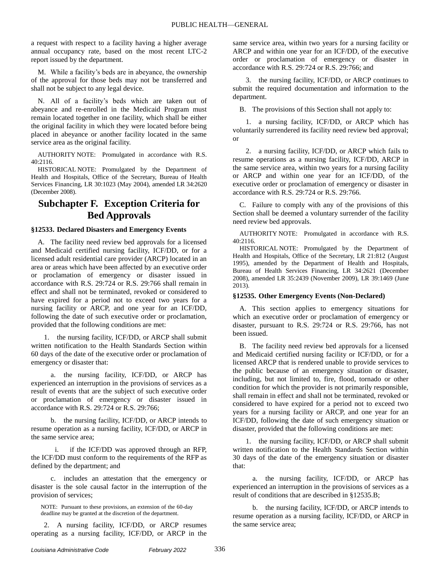a request with respect to a facility having a higher average annual occupancy rate, based on the most recent LTC-2 report issued by the department.

M. While a facility's beds are in abeyance, the ownership of the approval for those beds may not be transferred and shall not be subject to any legal device.

N. All of a facility's beds which are taken out of abeyance and re-enrolled in the Medicaid Program must remain located together in one facility, which shall be either the original facility in which they were located before being placed in abeyance or another facility located in the same service area as the original facility.

AUTHORITY NOTE: Promulgated in accordance with R.S. 40:2116.

HISTORICAL NOTE: Promulgated by the Department of Health and Hospitals, Office of the Secretary, Bureau of Health Services Financing, LR 30:1023 (May 2004), amended LR 34:2620 (December 2008).

## **Subchapter F. Exception Criteria for Bed Approvals**

### **§12533. Declared Disasters and Emergency Events**

A. The facility need review bed approvals for a licensed and Medicaid certified nursing facility, ICF/DD, or for a licensed adult residential care provider (ARCP) located in an area or areas which have been affected by an executive order or proclamation of emergency or disaster issued in accordance with R.S. 29:724 or R.S. 29:766 shall remain in effect and shall not be terminated, revoked or considered to have expired for a period not to exceed two years for a nursing facility or ARCP, and one year for an ICF/DD, following the date of such executive order or proclamation, provided that the following conditions are met:

1. the nursing facility, ICF/DD, or ARCP shall submit written notification to the Health Standards Section within 60 days of the date of the executive order or proclamation of emergency or disaster that:

a. the nursing facility, ICF/DD, or ARCP has experienced an interruption in the provisions of services as a result of events that are the subject of such executive order or proclamation of emergency or disaster issued in accordance with R.S. 29:724 or R.S. 29:766;

b. the nursing facility, ICF/DD, or ARCP intends to resume operation as a nursing facility, ICF/DD, or ARCP in the same service area;

i. if the ICF/DD was approved through an RFP, the ICF/DD must conform to the requirements of the RFP as defined by the department; and

c. includes an attestation that the emergency or disaster is the sole causal factor in the interruption of the provision of services;

NOTE: Pursuant to these provisions, an extension of the 60-day deadline may be granted at the discretion of the department.

2. A nursing facility, ICF/DD, or ARCP resumes operating as a nursing facility, ICF/DD, or ARCP in the

same service area, within two years for a nursing facility or ARCP and within one year for an ICF/DD, of the executive order or proclamation of emergency or disaster in accordance with R.S. 29:724 or R.S. 29:766; and

3. the nursing facility, ICF/DD, or ARCP continues to submit the required documentation and information to the department.

B. The provisions of this Section shall not apply to:

1. a nursing facility, ICF/DD, or ARCP which has voluntarily surrendered its facility need review bed approval; or

2. a nursing facility, ICF/DD, or ARCP which fails to resume operations as a nursing facility, ICF/DD, ARCP in the same service area, within two years for a nursing facility or ARCP and within one year for an ICF/DD, of the executive order or proclamation of emergency or disaster in accordance with R.S. 29:724 or R.S. 29:766.

C. Failure to comply with any of the provisions of this Section shall be deemed a voluntary surrender of the facility need review bed approvals.

AUTHORITY NOTE: Promulgated in accordance with R.S. 40:2116.

HISTORICAL NOTE: Promulgated by the Department of Health and Hospitals, Office of the Secretary, LR 21:812 (August 1995), amended by the Department of Health and Hospitals, Bureau of Health Services Financing, LR 34:2621 (December 2008), amended LR 35:2439 (November 2009), LR 39:1469 (June 2013).

### **§12535. Other Emergency Events (Non-Declared)**

A. This section applies to emergency situations for which an executive order or proclamation of emergency or disaster, pursuant to R.S. 29:724 or R.S. 29:766, has not been issued.

B. The facility need review bed approvals for a licensed and Medicaid certified nursing facility or ICF/DD, or for a licensed ARCP that is rendered unable to provide services to the public because of an emergency situation or disaster, including, but not limited to, fire, flood, tornado or other condition for which the provider is not primarily responsible, shall remain in effect and shall not be terminated, revoked or considered to have expired for a period not to exceed two years for a nursing facility or ARCP, and one year for an ICF/DD, following the date of such emergency situation or disaster, provided that the following conditions are met:

1. the nursing facility, ICF/DD, or ARCP shall submit written notification to the Health Standards Section within 30 days of the date of the emergency situation or disaster that:

a. the nursing facility, ICF/DD, or ARCP has experienced an interruption in the provisions of services as a result of conditions that are described in §12535.B;

b. the nursing facility, ICF/DD, or ARCP intends to resume operation as a nursing facility, ICF/DD, or ARCP in the same service area;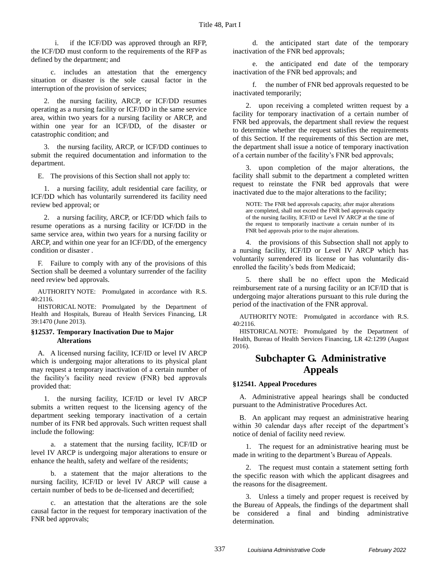i. if the ICF/DD was approved through an RFP, the ICF/DD must conform to the requirements of the RFP as defined by the department; and

c. includes an attestation that the emergency situation or disaster is the sole causal factor in the interruption of the provision of services;

2. the nursing facility, ARCP, or ICF/DD resumes operating as a nursing facility or ICF/DD in the same service area, within two years for a nursing facility or ARCP, and within one year for an ICF/DD, of the disaster or catastrophic condition; and

3. the nursing facility, ARCP, or ICF/DD continues to submit the required documentation and information to the department.

E. The provisions of this Section shall not apply to:

1. a nursing facility, adult residential care facility, or ICF/DD which has voluntarily surrendered its facility need review bed approval; or

2. a nursing facility, ARCP, or ICF/DD which fails to resume operations as a nursing facility or ICF/DD in the same service area, within two years for a nursing facility or ARCP, and within one year for an ICF/DD, of the emergency condition or disaster .

F. Failure to comply with any of the provisions of this Section shall be deemed a voluntary surrender of the facility need review bed approvals.

AUTHORITY NOTE: Promulgated in accordance with R.S. 40:2116.

HISTORICAL NOTE: Promulgated by the Department of Health and Hospitals, Bureau of Health Services Financing, LR 39:1470 (June 2013).

### **§12537. Temporary Inactivation Due to Major Alterations**

A. A licensed nursing facility, ICF/ID or level IV ARCP which is undergoing major alterations to its physical plant may request a temporary inactivation of a certain number of the facility's facility need review (FNR) bed approvals provided that:

1. the nursing facility, ICF/ID or level IV ARCP submits a written request to the licensing agency of the department seeking temporary inactivation of a certain number of its FNR bed approvals. Such written request shall include the following:

a. a statement that the nursing facility, ICF/ID or level IV ARCP is undergoing major alterations to ensure or enhance the health, safety and welfare of the residents;

b. a statement that the major alterations to the nursing facility, ICF/ID or level IV ARCP will cause a certain number of beds to be de-licensed and decertified;

c. an attestation that the alterations are the sole causal factor in the request for temporary inactivation of the FNR bed approvals;

d. the anticipated start date of the temporary inactivation of the FNR bed approvals;

e. the anticipated end date of the temporary inactivation of the FNR bed approvals; and

f. the number of FNR bed approvals requested to be inactivated temporarily;

2. upon receiving a completed written request by a facility for temporary inactivation of a certain number of FNR bed approvals, the department shall review the request to determine whether the request satisfies the requirements of this Section. If the requirements of this Section are met, the department shall issue a notice of temporary inactivation of a certain number of the facility's FNR bed approvals;

3. upon completion of the major alterations, the facility shall submit to the department a completed written request to reinstate the FNR bed approvals that were inactivated due to the major alterations to the facility;

NOTE: The FNR bed approvals capacity, after major alterations are completed, shall not exceed the FNR bed approvals capacity of the nursing facility, ICF/ID or Level IV ARCP at the time of the request to temporarily inactivate a certain number of its FNR bed approvals prior to the major alterations.

4. the provisions of this Subsection shall not apply to a nursing facility, ICF/ID or Level IV ARCP which has voluntarily surrendered its license or has voluntarily disenrolled the facility's beds from Medicaid;

5. there shall be no effect upon the Medicaid reimbursement rate of a nursing facility or an ICF/ID that is undergoing major alterations pursuant to this rule during the period of the inactivation of the FNR approval.

AUTHORITY NOTE: Promulgated in accordance with R.S. 40:2116.

HISTORICAL NOTE: Promulgated by the Department of Health, Bureau of Health Services Financing, LR 42:1299 (August 2016).

### **Subchapter G. Administrative Appeals**

### **§12541. Appeal Procedures**

A. Administrative appeal hearings shall be conducted pursuant to the Administrative Procedures Act.

B. An applicant may request an administrative hearing within 30 calendar days after receipt of the department's notice of denial of facility need review.

1. The request for an administrative hearing must be made in writing to the department's Bureau of Appeals.

2. The request must contain a statement setting forth the specific reason with which the applicant disagrees and the reasons for the disagreement.

3. Unless a timely and proper request is received by the Bureau of Appeals, the findings of the department shall be considered a final and binding administrative determination.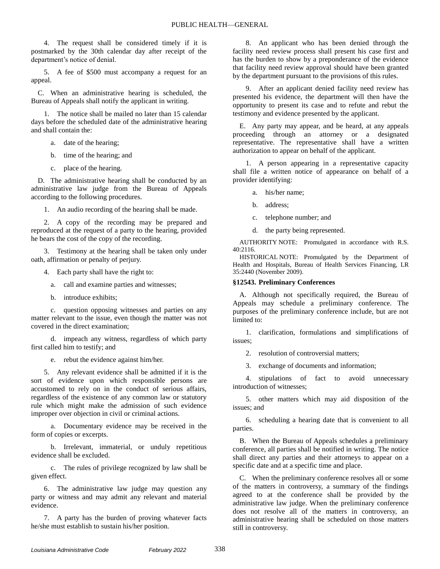4. The request shall be considered timely if it is postmarked by the 30th calendar day after receipt of the department's notice of denial.

5. A fee of \$500 must accompany a request for an appeal.

C. When an administrative hearing is scheduled, the Bureau of Appeals shall notify the applicant in writing.

1. The notice shall be mailed no later than 15 calendar days before the scheduled date of the administrative hearing and shall contain the:

- a. date of the hearing;
- b. time of the hearing; and
- c. place of the hearing.

D. The administrative hearing shall be conducted by an administrative law judge from the Bureau of Appeals according to the following procedures.

1. An audio recording of the hearing shall be made.

2. A copy of the recording may be prepared and reproduced at the request of a party to the hearing, provided he bears the cost of the copy of the recording.

3. Testimony at the hearing shall be taken only under oath, affirmation or penalty of perjury.

4. Each party shall have the right to:

- a. call and examine parties and witnesses;
- b. introduce exhibits;

c. question opposing witnesses and parties on any matter relevant to the issue, even though the matter was not covered in the direct examination;

d. impeach any witness, regardless of which party first called him to testify; and

e. rebut the evidence against him/her.

5. Any relevant evidence shall be admitted if it is the sort of evidence upon which responsible persons are accustomed to rely on in the conduct of serious affairs, regardless of the existence of any common law or statutory rule which might make the admission of such evidence improper over objection in civil or criminal actions.

a. Documentary evidence may be received in the form of copies or excerpts.

b. Irrelevant, immaterial, or unduly repetitious evidence shall be excluded.

c. The rules of privilege recognized by law shall be given effect.

6. The administrative law judge may question any party or witness and may admit any relevant and material evidence.

7. A party has the burden of proving whatever facts he/she must establish to sustain his/her position.

8. An applicant who has been denied through the facility need review process shall present his case first and has the burden to show by a preponderance of the evidence that facility need review approval should have been granted by the department pursuant to the provisions of this rules.

9. After an applicant denied facility need review has presented his evidence, the department will then have the opportunity to present its case and to refute and rebut the testimony and evidence presented by the applicant.

E. Any party may appear, and be heard, at any appeals proceeding through an attorney or a designated representative. The representative shall have a written authorization to appear on behalf of the applicant.

1. A person appearing in a representative capacity shall file a written notice of appearance on behalf of a provider identifying:

a. his/her name;

b. address;

c. telephone number; and

d. the party being represented.

AUTHORITY NOTE: Promulgated in accordance with R.S. 40:2116.

HISTORICAL NOTE: Promulgated by the Department of Health and Hospitals, Bureau of Health Services Financing, LR 35:2440 (November 2009).

### **§12543. Preliminary Conferences**

A. Although not specifically required, the Bureau of Appeals may schedule a preliminary conference. The purposes of the preliminary conference include, but are not limited to:

1. clarification, formulations and simplifications of issues;

2. resolution of controversial matters;

3. exchange of documents and information;

4. stipulations of fact to avoid unnecessary introduction of witnesses;

5. other matters which may aid disposition of the issues; and

6. scheduling a hearing date that is convenient to all parties.

B. When the Bureau of Appeals schedules a preliminary conference, all parties shall be notified in writing. The notice shall direct any parties and their attorneys to appear on a specific date and at a specific time and place.

C. When the preliminary conference resolves all or some of the matters in controversy, a summary of the findings agreed to at the conference shall be provided by the administrative law judge. When the preliminary conference does not resolve all of the matters in controversy, an administrative hearing shall be scheduled on those matters still in controversy.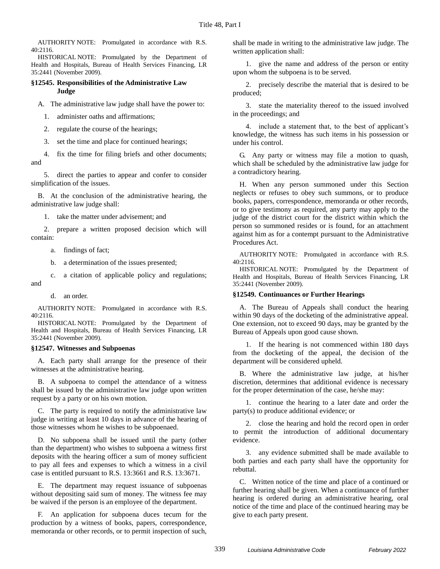AUTHORITY NOTE: Promulgated in accordance with R.S. 40:2116.

HISTORICAL NOTE: Promulgated by the Department of Health and Hospitals, Bureau of Health Services Financing, LR 35:2441 (November 2009).

### **§12545. Responsibilities of the Administrative Law Judge**

A. The administrative law judge shall have the power to:

1. administer oaths and affirmations;

2. regulate the course of the hearings;

3. set the time and place for continued hearings;

4. fix the time for filing briefs and other documents; and

5. direct the parties to appear and confer to consider simplification of the issues.

B. At the conclusion of the administrative hearing, the administrative law judge shall:

1. take the matter under advisement; and

2. prepare a written proposed decision which will contain:

a. findings of fact;

b. a determination of the issues presented;

c. a citation of applicable policy and regulations;

d. an order.

and

AUTHORITY NOTE: Promulgated in accordance with R.S. 40:2116.

HISTORICAL NOTE: Promulgated by the Department of Health and Hospitals, Bureau of Health Services Financing, LR 35:2441 (November 2009).

### **§12547. Witnesses and Subpoenas**

A. Each party shall arrange for the presence of their witnesses at the administrative hearing.

B. A subpoena to compel the attendance of a witness shall be issued by the administrative law judge upon written request by a party or on his own motion.

C. The party is required to notify the administrative law judge in writing at least 10 days in advance of the hearing of those witnesses whom he wishes to be subpoenaed.

D. No subpoena shall be issued until the party (other than the department) who wishes to subpoena a witness first deposits with the hearing officer a sum of money sufficient to pay all fees and expenses to which a witness in a civil case is entitled pursuant to R.S. 13:3661 and R.S. 13:3671.

E. The department may request issuance of subpoenas without depositing said sum of money. The witness fee may be waived if the person is an employee of the department.

F. An application for subpoena duces tecum for the production by a witness of books, papers, correspondence, memoranda or other records, or to permit inspection of such, shall be made in writing to the administrative law judge. The written application shall:

1. give the name and address of the person or entity upon whom the subpoena is to be served.

2. precisely describe the material that is desired to be produced;

3. state the materiality thereof to the issued involved in the proceedings; and

4. include a statement that, to the best of applicant's knowledge, the witness has such items in his possession or under his control.

G. Any party or witness may file a motion to quash, which shall be scheduled by the administrative law judge for a contradictory hearing.

H. When any person summoned under this Section neglects or refuses to obey such summons, or to produce books, papers, correspondence, memoranda or other records, or to give testimony as required, any party may apply to the judge of the district court for the district within which the person so summoned resides or is found, for an attachment against him as for a contempt pursuant to the Administrative Procedures Act.

AUTHORITY NOTE: Promulgated in accordance with R.S. 40:2116.

HISTORICAL NOTE: Promulgated by the Department of Health and Hospitals, Bureau of Health Services Financing, LR 35:2441 (November 2009).

### **§12549. Continuances or Further Hearings**

A. The Bureau of Appeals shall conduct the hearing within 90 days of the docketing of the administrative appeal. One extension, not to exceed 90 days, may be granted by the Bureau of Appeals upon good cause shown.

1. If the hearing is not commenced within 180 days from the docketing of the appeal, the decision of the department will be considered upheld.

B. Where the administrative law judge, at his/her discretion, determines that additional evidence is necessary for the proper determination of the case, he/she may:

1. continue the hearing to a later date and order the party(s) to produce additional evidence; or

2. close the hearing and hold the record open in order to permit the introduction of additional documentary evidence.

3. any evidence submitted shall be made available to both parties and each party shall have the opportunity for rebuttal.

C. Written notice of the time and place of a continued or further hearing shall be given. When a continuance of further hearing is ordered during an administrative hearing, oral notice of the time and place of the continued hearing may be give to each party present.